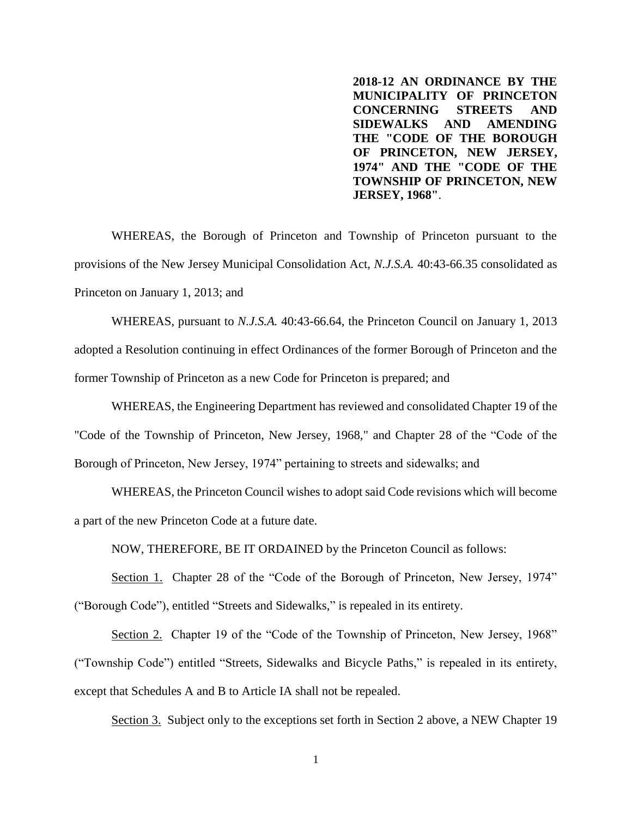**2018-12 AN ORDINANCE BY THE MUNICIPALITY OF PRINCETON CONCERNING STREETS AND SIDEWALKS AND AMENDING THE "CODE OF THE BOROUGH OF PRINCETON, NEW JERSEY, 1974" AND THE "CODE OF THE TOWNSHIP OF PRINCETON, NEW JERSEY, 1968"**.

WHEREAS, the Borough of Princeton and Township of Princeton pursuant to the provisions of the New Jersey Municipal Consolidation Act, *N.J.S.A.* 40:43-66.35 consolidated as Princeton on January 1, 2013; and

WHEREAS, pursuant to *N.J.S.A.* 40:43-66.64, the Princeton Council on January 1, 2013 adopted a Resolution continuing in effect Ordinances of the former Borough of Princeton and the former Township of Princeton as a new Code for Princeton is prepared; and

WHEREAS, the Engineering Department has reviewed and consolidated Chapter 19 of the "Code of the Township of Princeton, New Jersey, 1968," and Chapter 28 of the "Code of the Borough of Princeton, New Jersey, 1974" pertaining to streets and sidewalks; and

WHEREAS, the Princeton Council wishes to adopt said Code revisions which will become a part of the new Princeton Code at a future date.

NOW, THEREFORE, BE IT ORDAINED by the Princeton Council as follows:

Section 1. Chapter 28 of the "Code of the Borough of Princeton, New Jersey, 1974" ("Borough Code"), entitled "Streets and Sidewalks," is repealed in its entirety.

Section 2. Chapter 19 of the "Code of the Township of Princeton, New Jersey, 1968" ("Township Code") entitled "Streets, Sidewalks and Bicycle Paths," is repealed in its entirety, except that Schedules A and B to Article IA shall not be repealed.

Section 3. Subject only to the exceptions set forth in Section 2 above, a NEW Chapter 19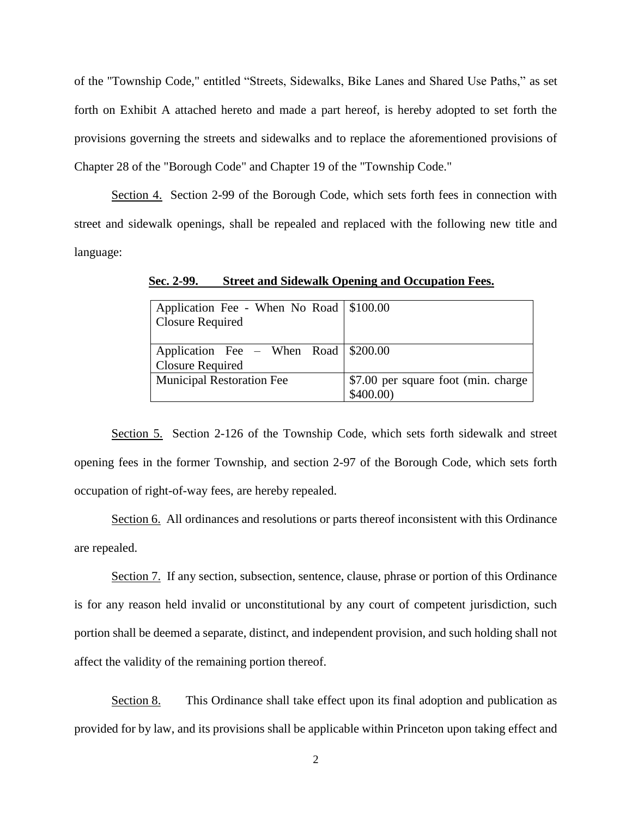of the "Township Code," entitled "Streets, Sidewalks, Bike Lanes and Shared Use Paths," as set forth on Exhibit A attached hereto and made a part hereof, is hereby adopted to set forth the provisions governing the streets and sidewalks and to replace the aforementioned provisions of Chapter 28 of the "Borough Code" and Chapter 19 of the "Township Code."

Section 4. Section 2-99 of the Borough Code, which sets forth fees in connection with street and sidewalk openings, shall be repealed and replaced with the following new title and language:

| Application Fee - When No Road \$100.00<br><b>Closure Required</b> |                                                  |
|--------------------------------------------------------------------|--------------------------------------------------|
| Application Fee – When Road \\$200.00<br><b>Closure Required</b>   |                                                  |
| <b>Municipal Restoration Fee</b>                                   | \$7.00 per square foot (min. charge)<br>\$400.00 |

**Sec. 2-99. Street and Sidewalk Opening and Occupation Fees.**

Section 5. Section 2-126 of the Township Code, which sets forth sidewalk and street opening fees in the former Township, and section 2-97 of the Borough Code, which sets forth occupation of right-of-way fees, are hereby repealed.

Section 6. All ordinances and resolutions or parts thereof inconsistent with this Ordinance are repealed.

Section 7. If any section, subsection, sentence, clause, phrase or portion of this Ordinance is for any reason held invalid or unconstitutional by any court of competent jurisdiction, such portion shall be deemed a separate, distinct, and independent provision, and such holding shall not affect the validity of the remaining portion thereof.

Section 8. This Ordinance shall take effect upon its final adoption and publication as provided for by law, and its provisions shall be applicable within Princeton upon taking effect and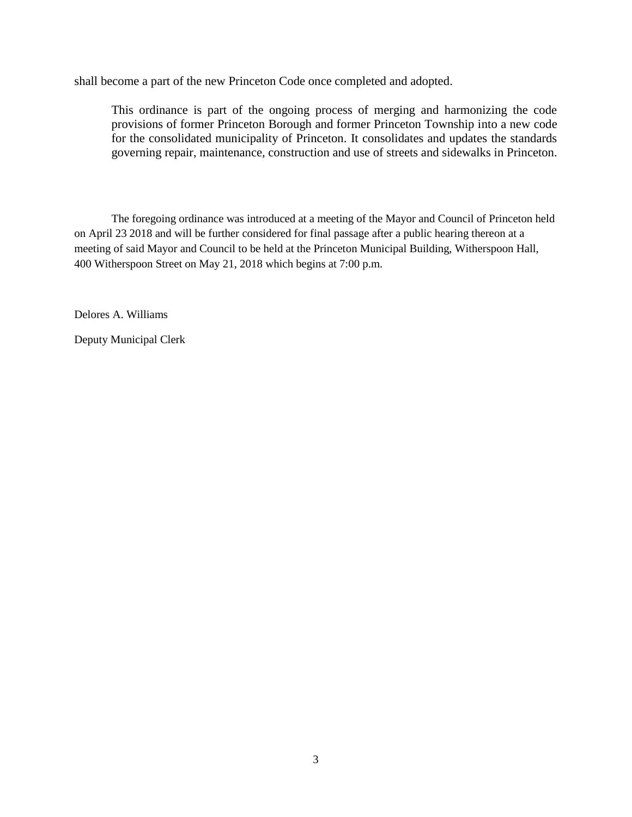shall become a part of the new Princeton Code once completed and adopted.

This ordinance is part of the ongoing process of merging and harmonizing the code provisions of former Princeton Borough and former Princeton Township into a new code for the consolidated municipality of Princeton. It consolidates and updates the standards governing repair, maintenance, construction and use of streets and sidewalks in Princeton.

The foregoing ordinance was introduced at a meeting of the Mayor and Council of Princeton held on April 23 2018 and will be further considered for final passage after a public hearing thereon at a meeting of said Mayor and Council to be held at the Princeton Municipal Building, Witherspoon Hall, 400 Witherspoon Street on May 21, 2018 which begins at 7:00 p.m.

Delores A. Williams

Deputy Municipal Clerk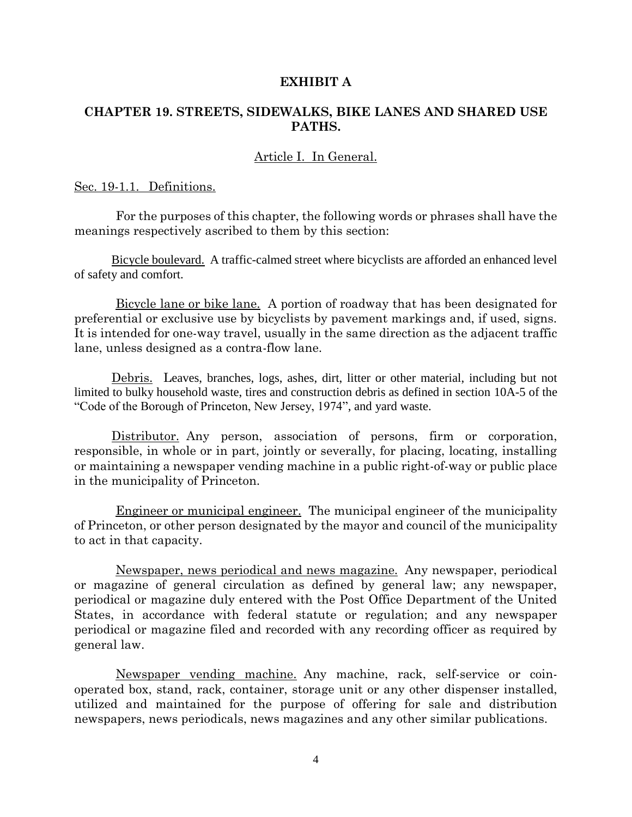#### **EXHIBIT A**

#### **CHAPTER 19. STREETS, SIDEWALKS, BIKE LANES AND SHARED USE PATHS.**

#### Article I. In General.

#### Sec. 19-1.1. Definitions.

 For the purposes of this chapter, the following words or phrases shall have the meanings respectively ascribed to them by this section:

Bicycle boulevard. A traffic-calmed street where bicyclists are afforded an enhanced level of safety and comfort.

 Bicycle lane or bike lane. A portion of roadway that has been designated for preferential or exclusive use by bicyclists by pavement markings and, if used, signs. It is intended for one-way travel, usually in the same direction as the adjacent traffic lane, unless designed as a contra-flow lane.

Debris. Leaves, branches, logs, ashes, dirt, litter or other material, including but not limited to bulky household waste, tires and construction debris as defined in section 10A-5 of the "Code of the Borough of Princeton, New Jersey, 1974", and yard waste.

Distributor. Any person, association of persons, firm or corporation, responsible, in whole or in part, jointly or severally, for placing, locating, installing or maintaining a newspaper vending machine in a public right-of-way or public place in the municipality of Princeton.

 Engineer or municipal engineer. The municipal engineer of the municipality of Princeton, or other person designated by the mayor and council of the municipality to act in that capacity.

 Newspaper, news periodical and news magazine. Any newspaper, periodical or magazine of general circulation as defined by general law; any newspaper, periodical or magazine duly entered with the Post Office Department of the United States, in accordance with federal statute or regulation; and any newspaper periodical or magazine filed and recorded with any recording officer as required by general law.

 Newspaper vending machine. Any machine, rack, self-service or coinoperated box, stand, rack, container, storage unit or any other dispenser installed, utilized and maintained for the purpose of offering for sale and distribution newspapers, news periodicals, news magazines and any other similar publications.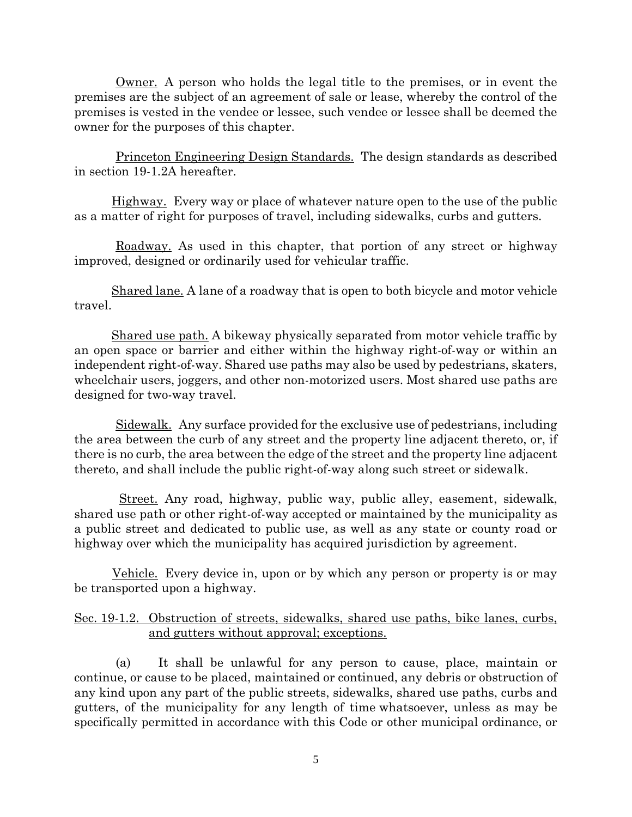Owner. A person who holds the legal title to the premises, or in event the premises are the subject of an agreement of sale or lease, whereby the control of the premises is vested in the vendee or lessee, such vendee or lessee shall be deemed the owner for the purposes of this chapter.

 Princeton Engineering Design Standards. The design standards as described in section 19-1.2A hereafter.

Highway. Every way or place of whatever nature open to the use of the public as a matter of right for purposes of travel, including sidewalks, curbs and gutters.

Roadway. As used in this chapter, that portion of any street or highway improved, designed or ordinarily used for vehicular traffic.

Shared lane. A lane of a roadway that is open to both bicycle and motor vehicle travel.

Shared use path. A bikeway physically separated from motor vehicle traffic by an open space or barrier and either within the highway right-of-way or within an independent right-of-way. Shared use paths may also be used by pedestrians, skaters, wheelchair users, joggers, and other non-motorized users. Most shared use paths are designed for two-way travel.

 Sidewalk. Any surface provided for the exclusive use of pedestrians, including the area between the curb of any street and the property line adjacent thereto, or, if there is no curb, the area between the edge of the street and the property line adjacent thereto, and shall include the public right-of-way along such street or sidewalk.

 Street. Any road, highway, public way, public alley, easement, sidewalk, shared use path or other right-of-way accepted or maintained by the municipality as a public street and dedicated to public use, as well as any state or county road or highway over which the municipality has acquired jurisdiction by agreement.

 Vehicle. Every device in, upon or by which any person or property is or may be transported upon a highway.

#### Sec. 19-1.2. Obstruction of streets, sidewalks, shared use paths, bike lanes, curbs, and gutters without approval; exceptions.

 (a) It shall be unlawful for any person to cause, place, maintain or continue, or cause to be placed, maintained or continued, any debris or obstruction of any kind upon any part of the public streets, sidewalks, shared use paths, curbs and gutters, of the municipality for any length of time whatsoever, unless as may be specifically permitted in accordance with this Code or other municipal ordinance, or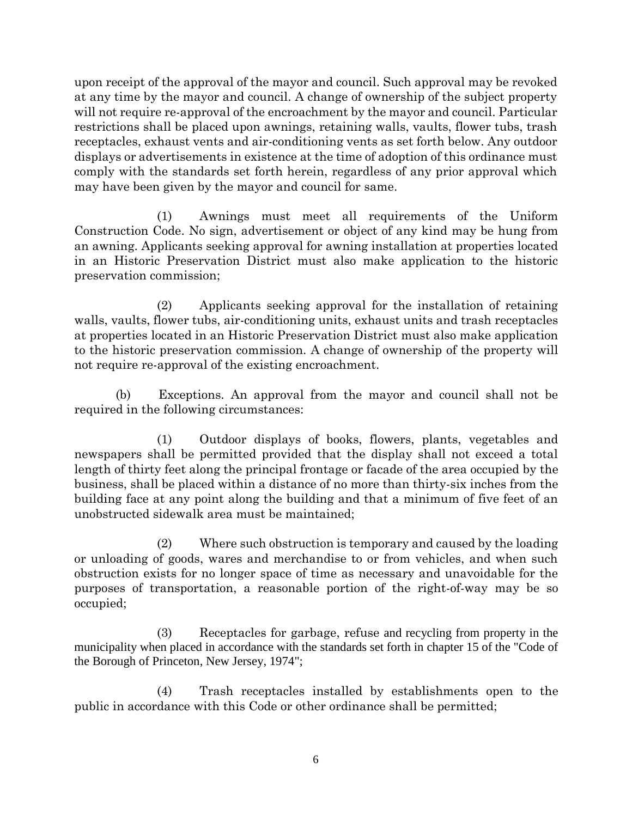upon receipt of the approval of the mayor and council. Such approval may be revoked at any time by the mayor and council. A change of ownership of the subject property will not require re-approval of the encroachment by the mayor and council. Particular restrictions shall be placed upon awnings, retaining walls, vaults, flower tubs, trash receptacles, exhaust vents and air-conditioning vents as set forth below. Any outdoor displays or advertisements in existence at the time of adoption of this ordinance must comply with the standards set forth herein, regardless of any prior approval which may have been given by the mayor and council for same.

 (1) Awnings must meet all requirements of the Uniform Construction Code. No sign, advertisement or object of any kind may be hung from an awning. Applicants seeking approval for awning installation at properties located in an Historic Preservation District must also make application to the historic preservation commission;

 (2) Applicants seeking approval for the installation of retaining walls, vaults, flower tubs, air-conditioning units, exhaust units and trash receptacles at properties located in an Historic Preservation District must also make application to the historic preservation commission. A change of ownership of the property will not require re-approval of the existing encroachment.

 (b) Exceptions. An approval from the mayor and council shall not be required in the following circumstances:

 (1) Outdoor displays of books, flowers, plants, vegetables and newspapers shall be permitted provided that the display shall not exceed a total length of thirty feet along the principal frontage or facade of the area occupied by the business, shall be placed within a distance of no more than thirty-six inches from the building face at any point along the building and that a minimum of five feet of an unobstructed sidewalk area must be maintained;

 (2) Where such obstruction is temporary and caused by the loading or unloading of goods, wares and merchandise to or from vehicles, and when such obstruction exists for no longer space of time as necessary and unavoidable for the purposes of transportation, a reasonable portion of the right-of-way may be so occupied;

 (3) Receptacles for garbage, refuse and recycling from property in the municipality when placed in accordance with the standards set forth in chapter 15 of the "Code of the Borough of Princeton, New Jersey, 1974";

 (4) Trash receptacles installed by establishments open to the public in accordance with this Code or other ordinance shall be permitted;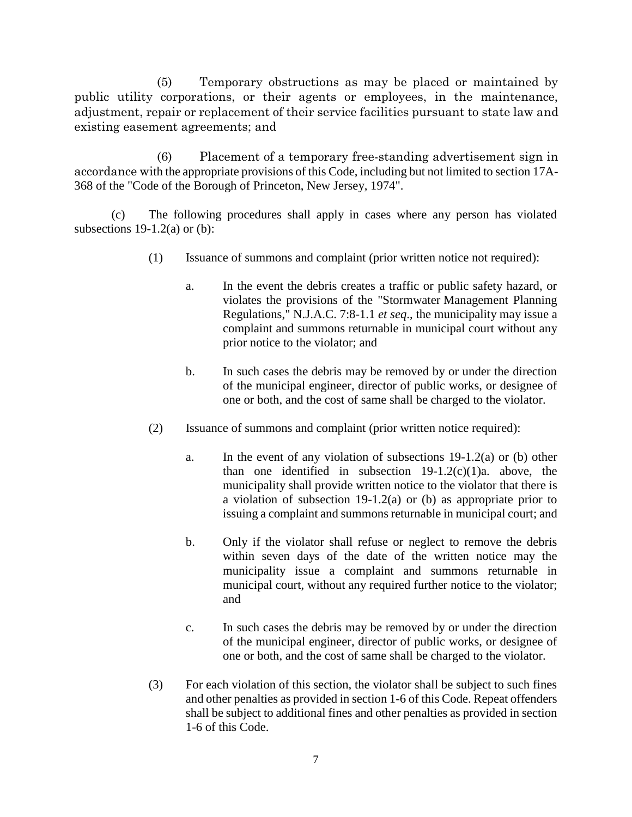(5) Temporary obstructions as may be placed or maintained by public utility corporations, or their agents or employees, in the maintenance, adjustment, repair or replacement of their service facilities pursuant to state law and existing easement agreements; and

 (6) Placement of a temporary free-standing advertisement sign in accordance with the appropriate provisions of this Code, including but not limited to section 17A-368 of the "Code of the Borough of Princeton, New Jersey, 1974".

(c) The following procedures shall apply in cases where any person has violated subsections  $19-1.2(a)$  or (b):

- (1) Issuance of summons and complaint (prior written notice not required):
	- a. In the event the debris creates a traffic or public safety hazard, or violates the provisions of the "Stormwater Management Planning Regulations," N.J.A.C. 7:8-1.1 *et seq*., the municipality may issue a complaint and summons returnable in municipal court without any prior notice to the violator; and
	- b. In such cases the debris may be removed by or under the direction of the municipal engineer, director of public works, or designee of one or both, and the cost of same shall be charged to the violator.
- (2) Issuance of summons and complaint (prior written notice required):
	- a. In the event of any violation of subsections 19-1.2(a) or (b) other than one identified in subsection  $19-1.2(c)(1)a$ . above, the municipality shall provide written notice to the violator that there is a violation of subsection 19-1.2(a) or (b) as appropriate prior to issuing a complaint and summons returnable in municipal court; and
	- b. Only if the violator shall refuse or neglect to remove the debris within seven days of the date of the written notice may the municipality issue a complaint and summons returnable in municipal court, without any required further notice to the violator; and
	- c. In such cases the debris may be removed by or under the direction of the municipal engineer, director of public works, or designee of one or both, and the cost of same shall be charged to the violator.
- (3) For each violation of this section, the violator shall be subject to such fines and other penalties as provided in section 1-6 of this Code. Repeat offenders shall be subject to additional fines and other penalties as provided in section 1-6 of this Code.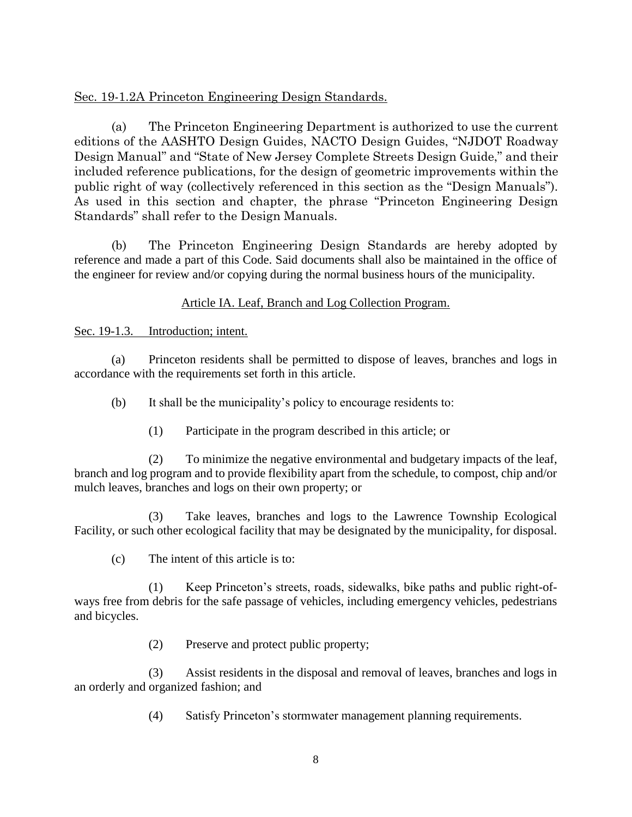## Sec. 19-1.2A Princeton Engineering Design Standards.

(a) The Princeton Engineering Department is authorized to use the current editions of the AASHTO Design Guides, NACTO Design Guides, "NJDOT Roadway Design Manual" and "State of New Jersey Complete Streets Design Guide," and their included reference publications, for the design of geometric improvements within the public right of way (collectively referenced in this section as the "Design Manuals"). As used in this section and chapter, the phrase "Princeton Engineering Design Standards" shall refer to the Design Manuals.

(b) The Princeton Engineering Design Standards are hereby adopted by reference and made a part of this Code. Said documents shall also be maintained in the office of the engineer for review and/or copying during the normal business hours of the municipality.

#### Article IA. Leaf, Branch and Log Collection Program.

Sec. 19-1.3. Introduction; intent.

(a) Princeton residents shall be permitted to dispose of leaves, branches and logs in accordance with the requirements set forth in this article.

(b) It shall be the municipality's policy to encourage residents to:

(1) Participate in the program described in this article; or

(2) To minimize the negative environmental and budgetary impacts of the leaf, branch and log program and to provide flexibility apart from the schedule, to compost, chip and/or mulch leaves, branches and logs on their own property; or

(3) Take leaves, branches and logs to the Lawrence Township Ecological Facility, or such other ecological facility that may be designated by the municipality, for disposal.

(c) The intent of this article is to:

(1) Keep Princeton's streets, roads, sidewalks, bike paths and public right-ofways free from debris for the safe passage of vehicles, including emergency vehicles, pedestrians and bicycles.

(2) Preserve and protect public property;

(3) Assist residents in the disposal and removal of leaves, branches and logs in an orderly and organized fashion; and

(4) Satisfy Princeton's stormwater management planning requirements.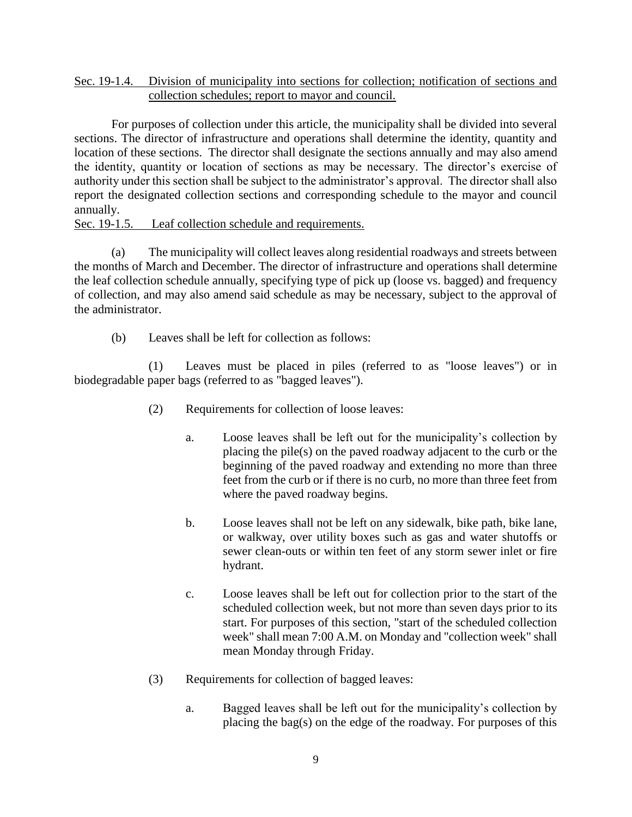#### Sec. 19-1.4. Division of municipality into sections for collection; notification of sections and collection schedules; report to mayor and council.

For purposes of collection under this article, the municipality shall be divided into several sections. The director of infrastructure and operations shall determine the identity, quantity and location of these sections. The director shall designate the sections annually and may also amend the identity, quantity or location of sections as may be necessary. The director's exercise of authority under this section shall be subject to the administrator's approval. The director shall also report the designated collection sections and corresponding schedule to the mayor and council annually.

#### Sec. 19-1.5. Leaf collection schedule and requirements.

(a) The municipality will collect leaves along residential roadways and streets between the months of March and December. The director of infrastructure and operations shall determine the leaf collection schedule annually, specifying type of pick up (loose vs. bagged) and frequency of collection, and may also amend said schedule as may be necessary, subject to the approval of the administrator.

(b) Leaves shall be left for collection as follows:

(1) Leaves must be placed in piles (referred to as "loose leaves") or in biodegradable paper bags (referred to as "bagged leaves").

- (2) Requirements for collection of loose leaves:
	- a. Loose leaves shall be left out for the municipality's collection by placing the pile(s) on the paved roadway adjacent to the curb or the beginning of the paved roadway and extending no more than three feet from the curb or if there is no curb, no more than three feet from where the paved roadway begins.
	- b. Loose leaves shall not be left on any sidewalk, bike path, bike lane, or walkway, over utility boxes such as gas and water shutoffs or sewer clean-outs or within ten feet of any storm sewer inlet or fire hydrant.
	- c. Loose leaves shall be left out for collection prior to the start of the scheduled collection week, but not more than seven days prior to its start. For purposes of this section, "start of the scheduled collection week" shall mean 7:00 A.M. on Monday and "collection week" shall mean Monday through Friday.
- (3) Requirements for collection of bagged leaves:
	- a. Bagged leaves shall be left out for the municipality's collection by placing the bag(s) on the edge of the roadway. For purposes of this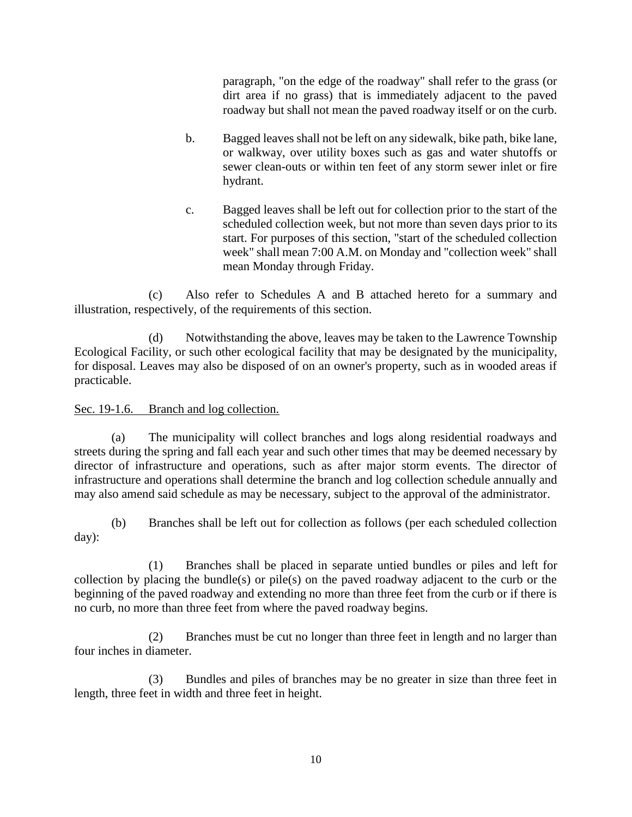paragraph, "on the edge of the roadway" shall refer to the grass (or dirt area if no grass) that is immediately adjacent to the paved roadway but shall not mean the paved roadway itself or on the curb.

- b. Bagged leaves shall not be left on any sidewalk, bike path, bike lane, or walkway, over utility boxes such as gas and water shutoffs or sewer clean-outs or within ten feet of any storm sewer inlet or fire hydrant.
- c. Bagged leaves shall be left out for collection prior to the start of the scheduled collection week, but not more than seven days prior to its start. For purposes of this section, "start of the scheduled collection week" shall mean 7:00 A.M. on Monday and "collection week" shall mean Monday through Friday.

(c) Also refer to Schedules A and B attached hereto for a summary and illustration, respectively, of the requirements of this section.

(d) Notwithstanding the above, leaves may be taken to the Lawrence Township Ecological Facility, or such other ecological facility that may be designated by the municipality, for disposal. Leaves may also be disposed of on an owner's property, such as in wooded areas if practicable.

## Sec. 19-1.6. Branch and log collection.

(a) The municipality will collect branches and logs along residential roadways and streets during the spring and fall each year and such other times that may be deemed necessary by director of infrastructure and operations, such as after major storm events. The director of infrastructure and operations shall determine the branch and log collection schedule annually and may also amend said schedule as may be necessary, subject to the approval of the administrator.

(b) Branches shall be left out for collection as follows (per each scheduled collection day):

(1) Branches shall be placed in separate untied bundles or piles and left for collection by placing the bundle(s) or pile(s) on the paved roadway adjacent to the curb or the beginning of the paved roadway and extending no more than three feet from the curb or if there is no curb, no more than three feet from where the paved roadway begins.

(2) Branches must be cut no longer than three feet in length and no larger than four inches in diameter.

(3) Bundles and piles of branches may be no greater in size than three feet in length, three feet in width and three feet in height.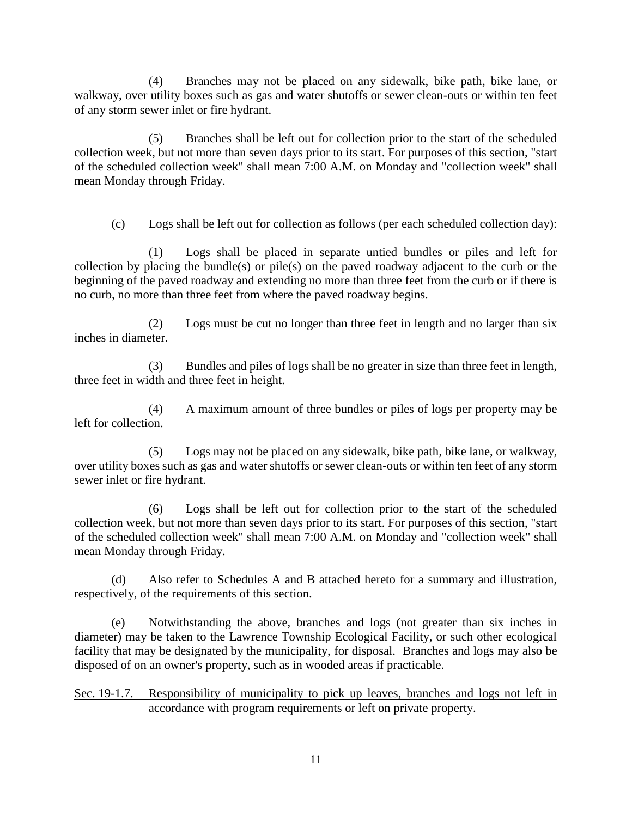(4) Branches may not be placed on any sidewalk, bike path, bike lane, or walkway, over utility boxes such as gas and water shutoffs or sewer clean-outs or within ten feet of any storm sewer inlet or fire hydrant.

(5) Branches shall be left out for collection prior to the start of the scheduled collection week, but not more than seven days prior to its start. For purposes of this section, "start of the scheduled collection week" shall mean 7:00 A.M. on Monday and "collection week" shall mean Monday through Friday.

(c) Logs shall be left out for collection as follows (per each scheduled collection day):

(1) Logs shall be placed in separate untied bundles or piles and left for collection by placing the bundle(s) or pile(s) on the paved roadway adjacent to the curb or the beginning of the paved roadway and extending no more than three feet from the curb or if there is no curb, no more than three feet from where the paved roadway begins.

(2) Logs must be cut no longer than three feet in length and no larger than six inches in diameter.

(3) Bundles and piles of logs shall be no greater in size than three feet in length, three feet in width and three feet in height.

(4) A maximum amount of three bundles or piles of logs per property may be left for collection.

(5) Logs may not be placed on any sidewalk, bike path, bike lane, or walkway, over utility boxes such as gas and water shutoffs or sewer clean-outs or within ten feet of any storm sewer inlet or fire hydrant.

(6) Logs shall be left out for collection prior to the start of the scheduled collection week, but not more than seven days prior to its start. For purposes of this section, "start of the scheduled collection week" shall mean 7:00 A.M. on Monday and "collection week" shall mean Monday through Friday.

(d) Also refer to Schedules A and B attached hereto for a summary and illustration, respectively, of the requirements of this section.

(e) Notwithstanding the above, branches and logs (not greater than six inches in diameter) may be taken to the Lawrence Township Ecological Facility, or such other ecological facility that may be designated by the municipality, for disposal. Branches and logs may also be disposed of on an owner's property, such as in wooded areas if practicable.

Sec. 19-1.7. Responsibility of municipality to pick up leaves, branches and logs not left in accordance with program requirements or left on private property.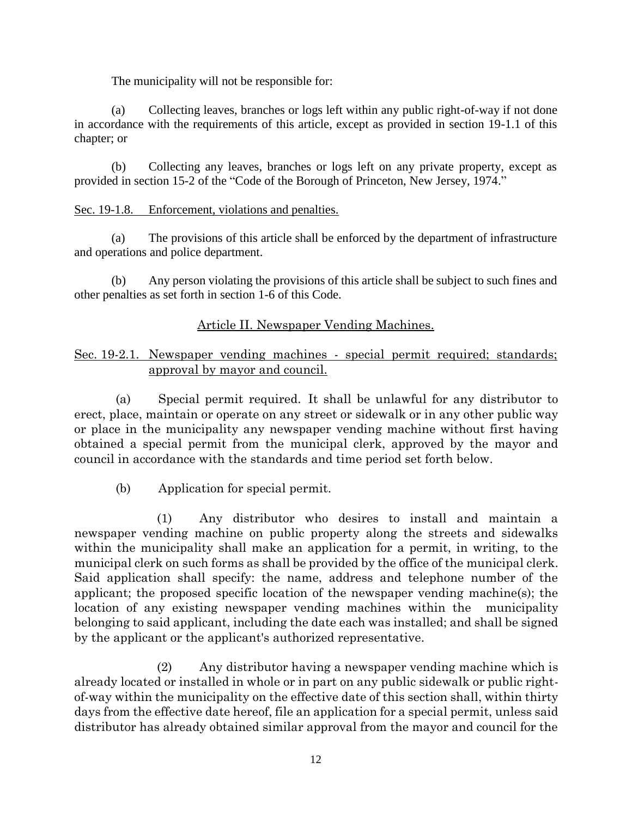The municipality will not be responsible for:

(a) Collecting leaves, branches or logs left within any public right-of-way if not done in accordance with the requirements of this article, except as provided in section 19-1.1 of this chapter; or

(b) Collecting any leaves, branches or logs left on any private property, except as provided in section 15-2 of the "Code of the Borough of Princeton, New Jersey, 1974."

#### Sec. 19-1.8. Enforcement, violations and penalties.

(a) The provisions of this article shall be enforced by the department of infrastructure and operations and police department.

(b) Any person violating the provisions of this article shall be subject to such fines and other penalties as set forth in section 1-6 of this Code.

## Article II. Newspaper Vending Machines.

## Sec. 19-2.1. Newspaper vending machines - special permit required; standards; approval by mayor and council.

 (a) Special permit required. It shall be unlawful for any distributor to erect, place, maintain or operate on any street or sidewalk or in any other public way or place in the municipality any newspaper vending machine without first having obtained a special permit from the municipal clerk, approved by the mayor and council in accordance with the standards and time period set forth below.

(b) Application for special permit.

 (1) Any distributor who desires to install and maintain a newspaper vending machine on public property along the streets and sidewalks within the municipality shall make an application for a permit, in writing, to the municipal clerk on such forms as shall be provided by the office of the municipal clerk. Said application shall specify: the name, address and telephone number of the applicant; the proposed specific location of the newspaper vending machine(s); the location of any existing newspaper vending machines within the municipality belonging to said applicant, including the date each was installed; and shall be signed by the applicant or the applicant's authorized representative.

 (2) Any distributor having a newspaper vending machine which is already located or installed in whole or in part on any public sidewalk or public rightof-way within the municipality on the effective date of this section shall, within thirty days from the effective date hereof, file an application for a special permit, unless said distributor has already obtained similar approval from the mayor and council for the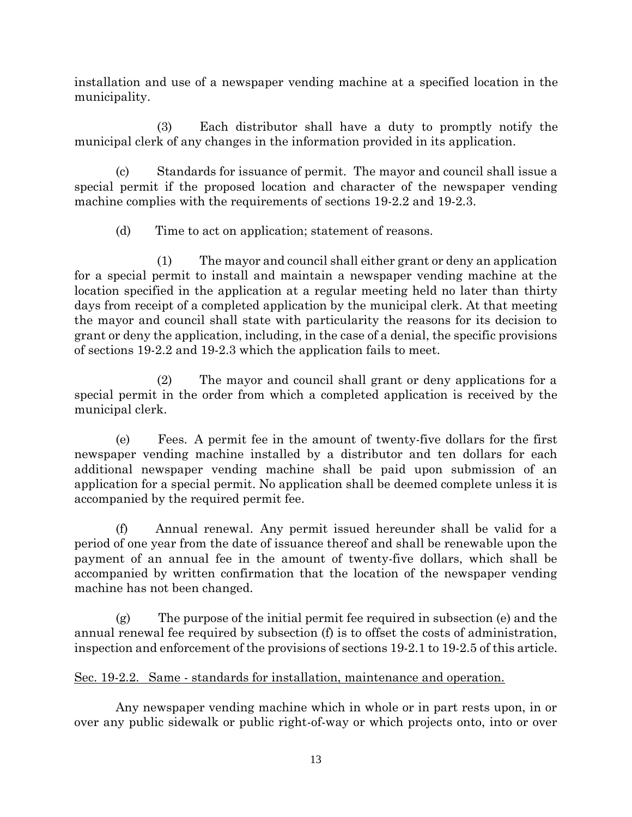installation and use of a newspaper vending machine at a specified location in the municipality.

 (3) Each distributor shall have a duty to promptly notify the municipal clerk of any changes in the information provided in its application.

 (c) Standards for issuance of permit. The mayor and council shall issue a special permit if the proposed location and character of the newspaper vending machine complies with the requirements of sections 19-2.2 and 19-2.3.

(d) Time to act on application; statement of reasons.

 (1) The mayor and council shall either grant or deny an application for a special permit to install and maintain a newspaper vending machine at the location specified in the application at a regular meeting held no later than thirty days from receipt of a completed application by the municipal clerk. At that meeting the mayor and council shall state with particularity the reasons for its decision to grant or deny the application, including, in the case of a denial, the specific provisions of sections 19-2.2 and 19-2.3 which the application fails to meet.

 (2) The mayor and council shall grant or deny applications for a special permit in the order from which a completed application is received by the municipal clerk.

 (e) Fees. A permit fee in the amount of twenty-five dollars for the first newspaper vending machine installed by a distributor and ten dollars for each additional newspaper vending machine shall be paid upon submission of an application for a special permit. No application shall be deemed complete unless it is accompanied by the required permit fee.

 (f) Annual renewal. Any permit issued hereunder shall be valid for a period of one year from the date of issuance thereof and shall be renewable upon the payment of an annual fee in the amount of twenty-five dollars, which shall be accompanied by written confirmation that the location of the newspaper vending machine has not been changed.

 (g) The purpose of the initial permit fee required in subsection (e) and the annual renewal fee required by subsection (f) is to offset the costs of administration, inspection and enforcement of the provisions of sections 19-2.1 to 19-2.5 of this article.

# Sec. 19-2.2. Same - standards for installation, maintenance and operation.

 Any newspaper vending machine which in whole or in part rests upon, in or over any public sidewalk or public right-of-way or which projects onto, into or over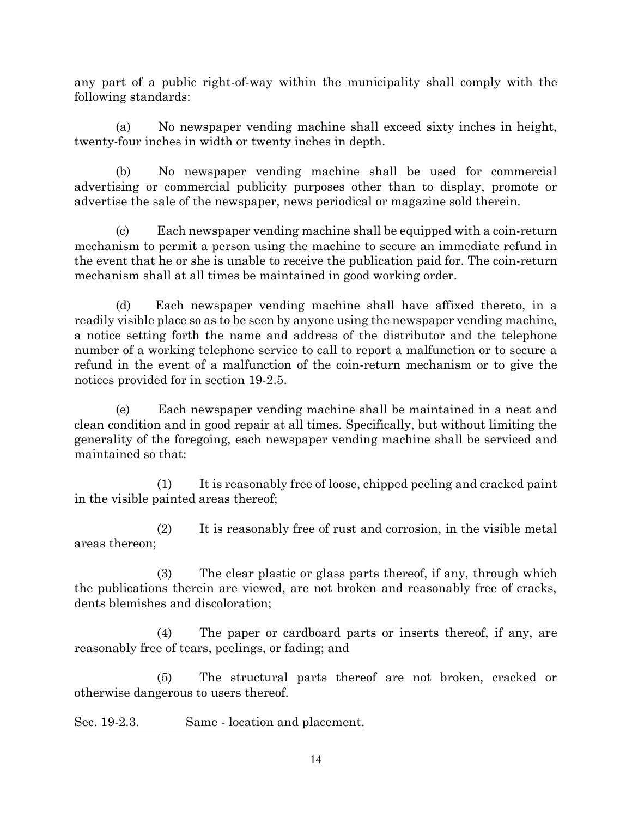any part of a public right-of-way within the municipality shall comply with the following standards:

 (a) No newspaper vending machine shall exceed sixty inches in height, twenty-four inches in width or twenty inches in depth.

 (b) No newspaper vending machine shall be used for commercial advertising or commercial publicity purposes other than to display, promote or advertise the sale of the newspaper, news periodical or magazine sold therein.

 (c) Each newspaper vending machine shall be equipped with a coin-return mechanism to permit a person using the machine to secure an immediate refund in the event that he or she is unable to receive the publication paid for. The coin-return mechanism shall at all times be maintained in good working order.

 (d) Each newspaper vending machine shall have affixed thereto, in a readily visible place so as to be seen by anyone using the newspaper vending machine, a notice setting forth the name and address of the distributor and the telephone number of a working telephone service to call to report a malfunction or to secure a refund in the event of a malfunction of the coin-return mechanism or to give the notices provided for in section 19-2.5.

 (e) Each newspaper vending machine shall be maintained in a neat and clean condition and in good repair at all times. Specifically, but without limiting the generality of the foregoing, each newspaper vending machine shall be serviced and maintained so that:

 (1) It is reasonably free of loose, chipped peeling and cracked paint in the visible painted areas thereof;

 (2) It is reasonably free of rust and corrosion, in the visible metal areas thereon;

 (3) The clear plastic or glass parts thereof, if any, through which the publications therein are viewed, are not broken and reasonably free of cracks, dents blemishes and discoloration;

 (4) The paper or cardboard parts or inserts thereof, if any, are reasonably free of tears, peelings, or fading; and

 (5) The structural parts thereof are not broken, cracked or otherwise dangerous to users thereof.

Sec. 19-2.3. Same - location and placement.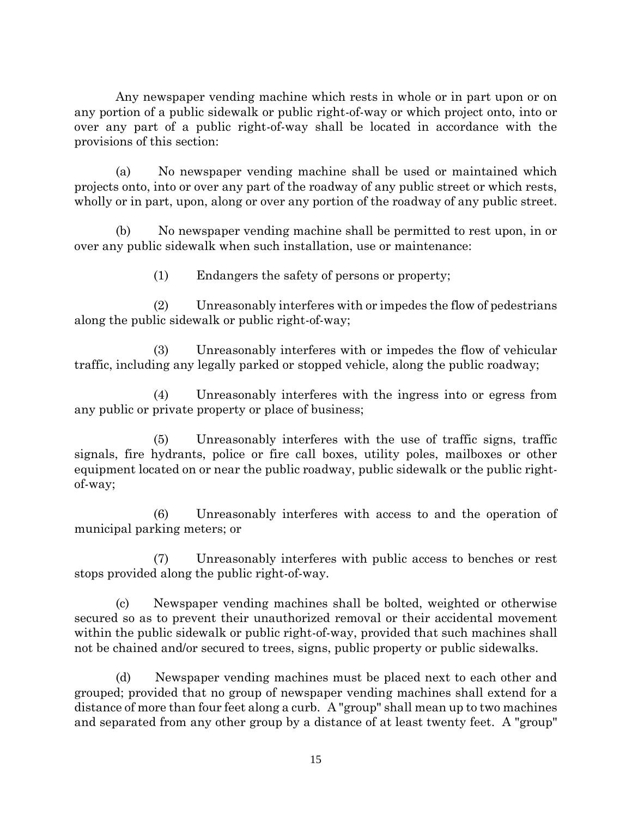Any newspaper vending machine which rests in whole or in part upon or on any portion of a public sidewalk or public right-of-way or which project onto, into or over any part of a public right-of-way shall be located in accordance with the provisions of this section:

 (a) No newspaper vending machine shall be used or maintained which projects onto, into or over any part of the roadway of any public street or which rests, wholly or in part, upon, along or over any portion of the roadway of any public street.

 (b) No newspaper vending machine shall be permitted to rest upon, in or over any public sidewalk when such installation, use or maintenance:

(1) Endangers the safety of persons or property;

 (2) Unreasonably interferes with or impedes the flow of pedestrians along the public sidewalk or public right-of-way;

 (3) Unreasonably interferes with or impedes the flow of vehicular traffic, including any legally parked or stopped vehicle, along the public roadway;

 (4) Unreasonably interferes with the ingress into or egress from any public or private property or place of business;

 (5) Unreasonably interferes with the use of traffic signs, traffic signals, fire hydrants, police or fire call boxes, utility poles, mailboxes or other equipment located on or near the public roadway, public sidewalk or the public rightof-way;

 (6) Unreasonably interferes with access to and the operation of municipal parking meters; or

 (7) Unreasonably interferes with public access to benches or rest stops provided along the public right-of-way.

 (c) Newspaper vending machines shall be bolted, weighted or otherwise secured so as to prevent their unauthorized removal or their accidental movement within the public sidewalk or public right-of-way, provided that such machines shall not be chained and/or secured to trees, signs, public property or public sidewalks.

 (d) Newspaper vending machines must be placed next to each other and grouped; provided that no group of newspaper vending machines shall extend for a distance of more than four feet along a curb. A "group" shall mean up to two machines and separated from any other group by a distance of at least twenty feet. A "group"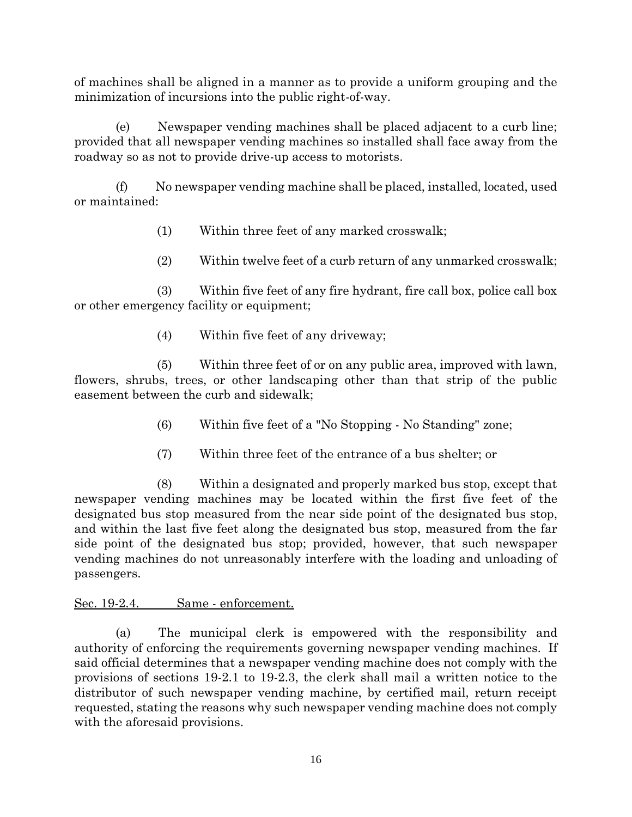of machines shall be aligned in a manner as to provide a uniform grouping and the minimization of incursions into the public right-of-way.

 (e) Newspaper vending machines shall be placed adjacent to a curb line; provided that all newspaper vending machines so installed shall face away from the roadway so as not to provide drive-up access to motorists.

 (f) No newspaper vending machine shall be placed, installed, located, used or maintained:

- (1) Within three feet of any marked crosswalk;
- (2) Within twelve feet of a curb return of any unmarked crosswalk;

 (3) Within five feet of any fire hydrant, fire call box, police call box or other emergency facility or equipment;

(4) Within five feet of any driveway;

 (5) Within three feet of or on any public area, improved with lawn, flowers, shrubs, trees, or other landscaping other than that strip of the public easement between the curb and sidewalk;

- (6) Within five feet of a "No Stopping No Standing" zone;
- (7) Within three feet of the entrance of a bus shelter; or

 (8) Within a designated and properly marked bus stop, except that newspaper vending machines may be located within the first five feet of the designated bus stop measured from the near side point of the designated bus stop, and within the last five feet along the designated bus stop, measured from the far side point of the designated bus stop; provided, however, that such newspaper vending machines do not unreasonably interfere with the loading and unloading of passengers.

# Sec. 19-2.4. Same - enforcement.

 (a) The municipal clerk is empowered with the responsibility and authority of enforcing the requirements governing newspaper vending machines. If said official determines that a newspaper vending machine does not comply with the provisions of sections 19-2.1 to 19-2.3, the clerk shall mail a written notice to the distributor of such newspaper vending machine, by certified mail, return receipt requested, stating the reasons why such newspaper vending machine does not comply with the aforesaid provisions.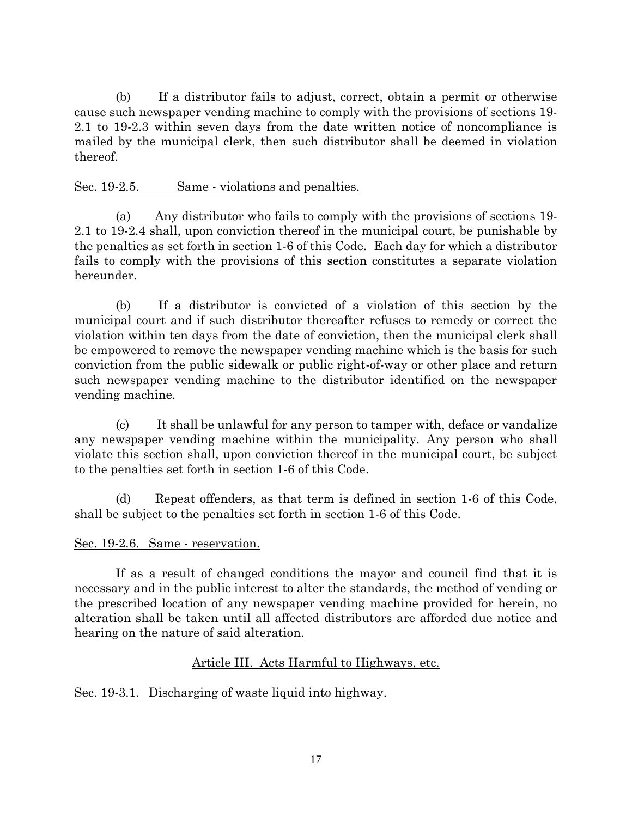(b) If a distributor fails to adjust, correct, obtain a permit or otherwise cause such newspaper vending machine to comply with the provisions of sections 19- 2.1 to 19-2.3 within seven days from the date written notice of noncompliance is mailed by the municipal clerk, then such distributor shall be deemed in violation thereof.

## Sec. 19-2.5. Same - violations and penalties.

 (a) Any distributor who fails to comply with the provisions of sections 19- 2.1 to 19-2.4 shall, upon conviction thereof in the municipal court, be punishable by the penalties as set forth in section 1-6 of this Code. Each day for which a distributor fails to comply with the provisions of this section constitutes a separate violation hereunder.

 (b) If a distributor is convicted of a violation of this section by the municipal court and if such distributor thereafter refuses to remedy or correct the violation within ten days from the date of conviction, then the municipal clerk shall be empowered to remove the newspaper vending machine which is the basis for such conviction from the public sidewalk or public right-of-way or other place and return such newspaper vending machine to the distributor identified on the newspaper vending machine.

 (c) It shall be unlawful for any person to tamper with, deface or vandalize any newspaper vending machine within the municipality. Any person who shall violate this section shall, upon conviction thereof in the municipal court, be subject to the penalties set forth in section 1-6 of this Code.

 (d) Repeat offenders, as that term is defined in section 1-6 of this Code, shall be subject to the penalties set forth in section 1-6 of this Code.

## Sec. 19-2.6. Same - reservation.

 If as a result of changed conditions the mayor and council find that it is necessary and in the public interest to alter the standards, the method of vending or the prescribed location of any newspaper vending machine provided for herein, no alteration shall be taken until all affected distributors are afforded due notice and hearing on the nature of said alteration.

# Article III. Acts Harmful to Highways, etc.

# Sec. 19-3.1. Discharging of waste liquid into highway.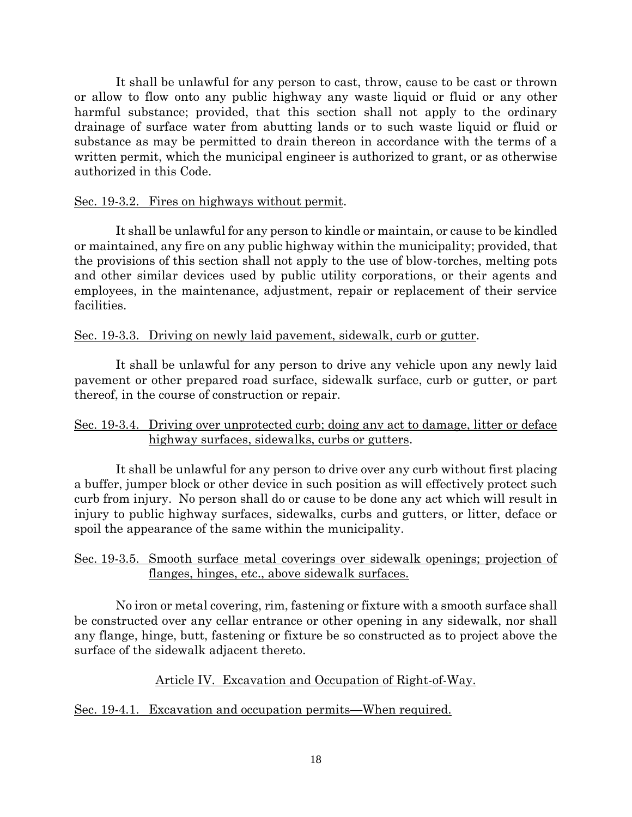It shall be unlawful for any person to cast, throw, cause to be cast or thrown or allow to flow onto any public highway any waste liquid or fluid or any other harmful substance; provided, that this section shall not apply to the ordinary drainage of surface water from abutting lands or to such waste liquid or fluid or substance as may be permitted to drain thereon in accordance with the terms of a written permit, which the municipal engineer is authorized to grant, or as otherwise authorized in this Code.

#### Sec. 19-3.2. Fires on highways without permit.

 It shall be unlawful for any person to kindle or maintain, or cause to be kindled or maintained, any fire on any public highway within the municipality; provided, that the provisions of this section shall not apply to the use of blow-torches, melting pots and other similar devices used by public utility corporations, or their agents and employees, in the maintenance, adjustment, repair or replacement of their service facilities.

#### Sec. 19-3.3. Driving on newly laid pavement, sidewalk, curb or gutter.

 It shall be unlawful for any person to drive any vehicle upon any newly laid pavement or other prepared road surface, sidewalk surface, curb or gutter, or part thereof, in the course of construction or repair.

## Sec. 19-3.4. Driving over unprotected curb; doing any act to damage, litter or deface highway surfaces, sidewalks, curbs or gutters.

 It shall be unlawful for any person to drive over any curb without first placing a buffer, jumper block or other device in such position as will effectively protect such curb from injury. No person shall do or cause to be done any act which will result in injury to public highway surfaces, sidewalks, curbs and gutters, or litter, deface or spoil the appearance of the same within the municipality.

## Sec. 19-3.5. Smooth surface metal coverings over sidewalk openings; projection of flanges, hinges, etc., above sidewalk surfaces.

 No iron or metal covering, rim, fastening or fixture with a smooth surface shall be constructed over any cellar entrance or other opening in any sidewalk, nor shall any flange, hinge, butt, fastening or fixture be so constructed as to project above the surface of the sidewalk adjacent thereto.

# Article IV. Excavation and Occupation of Right-of-Way.

## Sec. 19-4.1. Excavation and occupation permits—When required.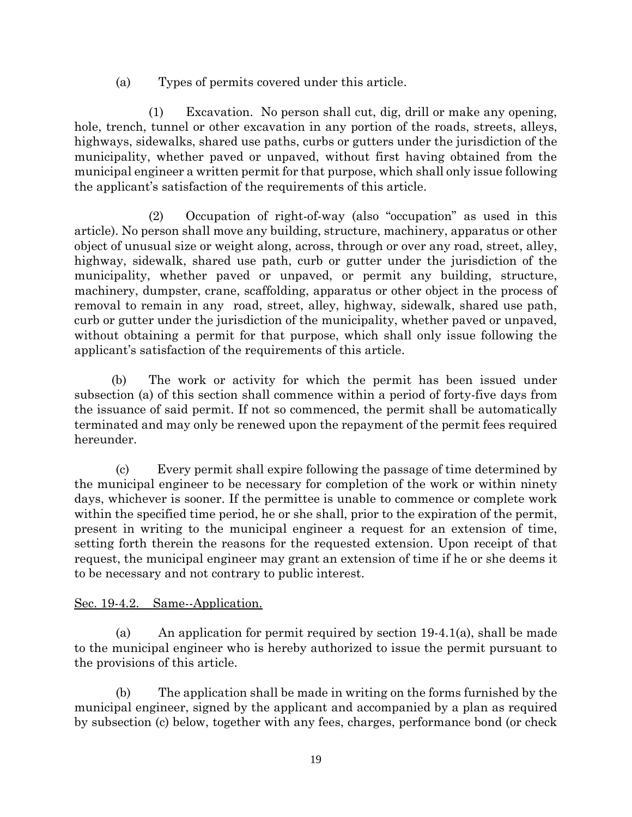(a) Types of permits covered under this article.

(1) Excavation. No person shall cut, dig, drill or make any opening, hole, trench, tunnel or other excavation in any portion of the roads, streets, alleys, highways, sidewalks, shared use paths, curbs or gutters under the jurisdiction of the municipality, whether paved or unpaved, without first having obtained from the municipal engineer a written permit for that purpose, which shall only issue following the applicant's satisfaction of the requirements of this article.

(2) Occupation of right-of-way (also "occupation" as used in this article). No person shall move any building, structure, machinery, apparatus or other object of unusual size or weight along, across, through or over any road, street, alley, highway, sidewalk, shared use path, curb or gutter under the jurisdiction of the municipality, whether paved or unpaved, or permit any building, structure, machinery, dumpster, crane, scaffolding, apparatus or other object in the process of removal to remain in any road, street, alley, highway, sidewalk, shared use path, curb or gutter under the jurisdiction of the municipality, whether paved or unpaved, without obtaining a permit for that purpose, which shall only issue following the applicant's satisfaction of the requirements of this article.

(b) The work or activity for which the permit has been issued under subsection (a) of this section shall commence within a period of forty-five days from the issuance of said permit. If not so commenced, the permit shall be automatically terminated and may only be renewed upon the repayment of the permit fees required hereunder.

 (c) Every permit shall expire following the passage of time determined by the municipal engineer to be necessary for completion of the work or within ninety days, whichever is sooner. If the permittee is unable to commence or complete work within the specified time period, he or she shall, prior to the expiration of the permit, present in writing to the municipal engineer a request for an extension of time, setting forth therein the reasons for the requested extension. Upon receipt of that request, the municipal engineer may grant an extension of time if he or she deems it to be necessary and not contrary to public interest.

## Sec. 19-4.2. Same--Application.

 (a) An application for permit required by section 19-4.1(a), shall be made to the municipal engineer who is hereby authorized to issue the permit pursuant to the provisions of this article.

 (b) The application shall be made in writing on the forms furnished by the municipal engineer, signed by the applicant and accompanied by a plan as required by subsection (c) below, together with any fees, charges, performance bond (or check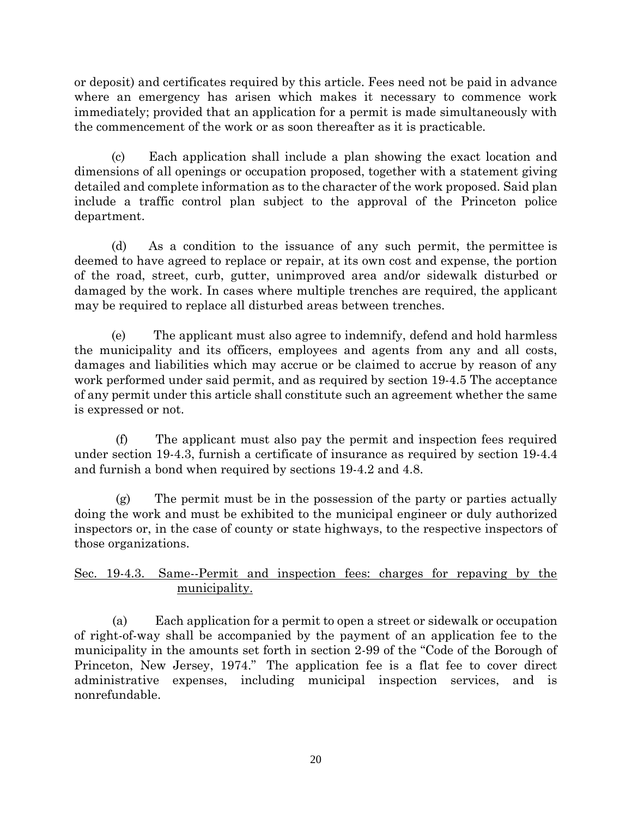or deposit) and certificates required by this article. Fees need not be paid in advance where an emergency has arisen which makes it necessary to commence work immediately; provided that an application for a permit is made simultaneously with the commencement of the work or as soon thereafter as it is practicable.

(c) Each application shall include a plan showing the exact location and dimensions of all openings or occupation proposed, together with a statement giving detailed and complete information as to the character of the work proposed. Said plan include a traffic control plan subject to the approval of the Princeton police department.

(d) As a condition to the issuance of any such permit, the permittee is deemed to have agreed to replace or repair, at its own cost and expense, the portion of the road, street, curb, gutter, unimproved area and/or sidewalk disturbed or damaged by the work. In cases where multiple trenches are required, the applicant may be required to replace all disturbed areas between trenches.

(e) The applicant must also agree to indemnify, defend and hold harmless the municipality and its officers, employees and agents from any and all costs, damages and liabilities which may accrue or be claimed to accrue by reason of any work performed under said permit, and as required by section 19-4.5 The acceptance of any permit under this article shall constitute such an agreement whether the same is expressed or not.

 (f) The applicant must also pay the permit and inspection fees required under section 19-4.3, furnish a certificate of insurance as required by section 19-4.4 and furnish a bond when required by sections 19-4.2 and 4.8.

 (g) The permit must be in the possession of the party or parties actually doing the work and must be exhibited to the municipal engineer or duly authorized inspectors or, in the case of county or state highways, to the respective inspectors of those organizations.

# Sec. 19-4.3. Same--Permit and inspection fees: charges for repaving by the municipality.

 (a) Each application for a permit to open a street or sidewalk or occupation of right-of-way shall be accompanied by the payment of an application fee to the municipality in the amounts set forth in section 2-99 of the "Code of the Borough of Princeton, New Jersey, 1974." The application fee is a flat fee to cover direct administrative expenses, including municipal inspection services, and is nonrefundable.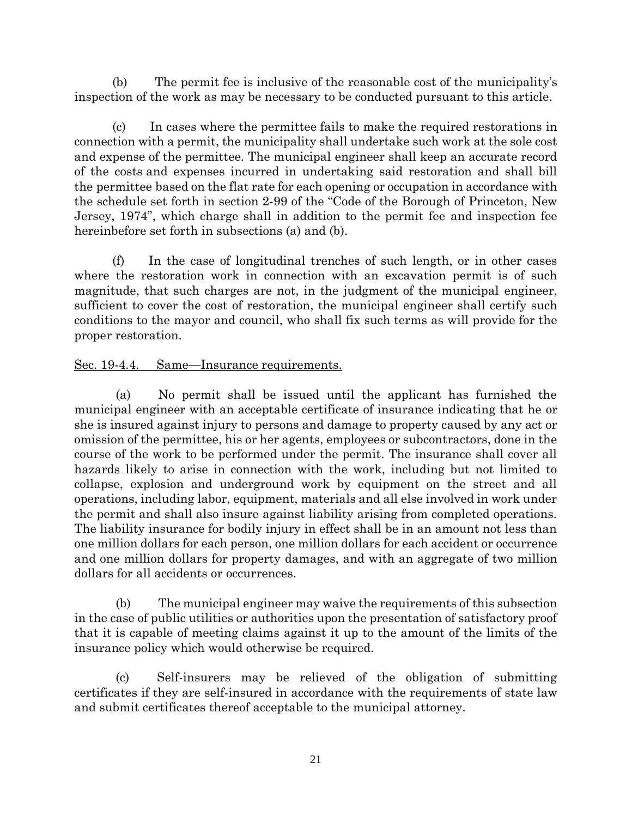(b) The permit fee is inclusive of the reasonable cost of the municipality's inspection of the work as may be necessary to be conducted pursuant to this article.

 (c) In cases where the permittee fails to make the required restorations in connection with a permit, the municipality shall undertake such work at the sole cost and expense of the permittee. The municipal engineer shall keep an accurate record of the costs and expenses incurred in undertaking said restoration and shall bill the permittee based on the flat rate for each opening or occupation in accordance with the schedule set forth in section 2-99 of the "Code of the Borough of Princeton, New Jersey, 1974", which charge shall in addition to the permit fee and inspection fee hereinbefore set forth in subsections (a) and (b).

 (f) In the case of longitudinal trenches of such length, or in other cases where the restoration work in connection with an excavation permit is of such magnitude, that such charges are not, in the judgment of the municipal engineer, sufficient to cover the cost of restoration, the municipal engineer shall certify such conditions to the mayor and council, who shall fix such terms as will provide for the proper restoration.

## Sec. 19-4.4. Same—Insurance requirements.

 (a) No permit shall be issued until the applicant has furnished the municipal engineer with an acceptable certificate of insurance indicating that he or she is insured against injury to persons and damage to property caused by any act or omission of the permittee, his or her agents, employees or subcontractors, done in the course of the work to be performed under the permit. The insurance shall cover all hazards likely to arise in connection with the work, including but not limited to collapse, explosion and underground work by equipment on the street and all operations, including labor, equipment, materials and all else involved in work under the permit and shall also insure against liability arising from completed operations. The liability insurance for bodily injury in effect shall be in an amount not less than one million dollars for each person, one million dollars for each accident or occurrence and one million dollars for property damages, and with an aggregate of two million dollars for all accidents or occurrences.

 (b) The municipal engineer may waive the requirements of this subsection in the case of public utilities or authorities upon the presentation of satisfactory proof that it is capable of meeting claims against it up to the amount of the limits of the insurance policy which would otherwise be required.

 (c) Self-insurers may be relieved of the obligation of submitting certificates if they are self-insured in accordance with the requirements of state law and submit certificates thereof acceptable to the municipal attorney.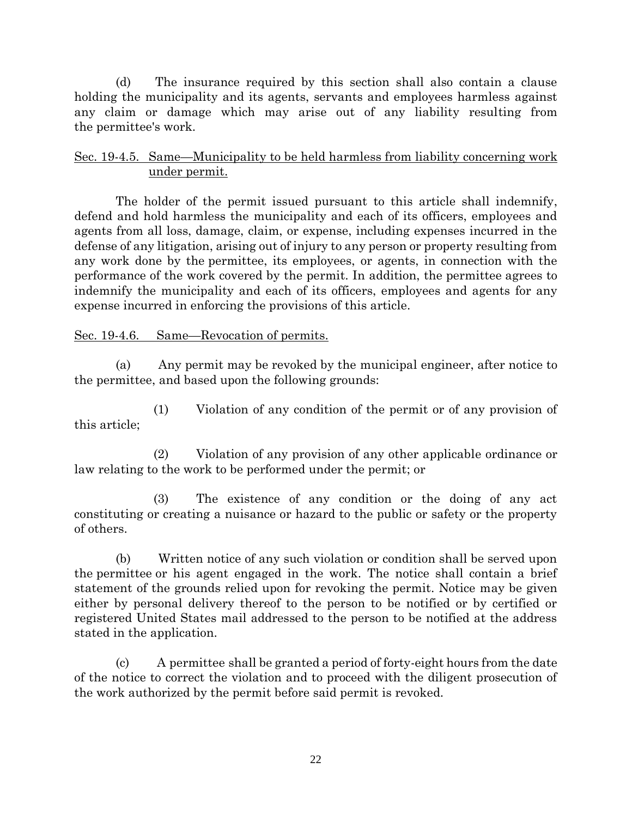(d) The insurance required by this section shall also contain a clause holding the municipality and its agents, servants and employees harmless against any claim or damage which may arise out of any liability resulting from the permittee's work.

## Sec. 19-4.5. Same—Municipality to be held harmless from liability concerning work under permit.

 The holder of the permit issued pursuant to this article shall indemnify, defend and hold harmless the municipality and each of its officers, employees and agents from all loss, damage, claim, or expense, including expenses incurred in the defense of any litigation, arising out of injury to any person or property resulting from any work done by the permittee, its employees, or agents, in connection with the performance of the work covered by the permit. In addition, the permittee agrees to indemnify the municipality and each of its officers, employees and agents for any expense incurred in enforcing the provisions of this article.

## Sec. 19-4.6. Same—Revocation of permits.

 (a) Any permit may be revoked by the municipal engineer, after notice to the permittee, and based upon the following grounds:

 (1) Violation of any condition of the permit or of any provision of this article;

 (2) Violation of any provision of any other applicable ordinance or law relating to the work to be performed under the permit; or

 (3) The existence of any condition or the doing of any act constituting or creating a nuisance or hazard to the public or safety or the property of others.

 (b) Written notice of any such violation or condition shall be served upon the permittee or his agent engaged in the work. The notice shall contain a brief statement of the grounds relied upon for revoking the permit. Notice may be given either by personal delivery thereof to the person to be notified or by certified or registered United States mail addressed to the person to be notified at the address stated in the application.

 (c) A permittee shall be granted a period of forty-eight hours from the date of the notice to correct the violation and to proceed with the diligent prosecution of the work authorized by the permit before said permit is revoked.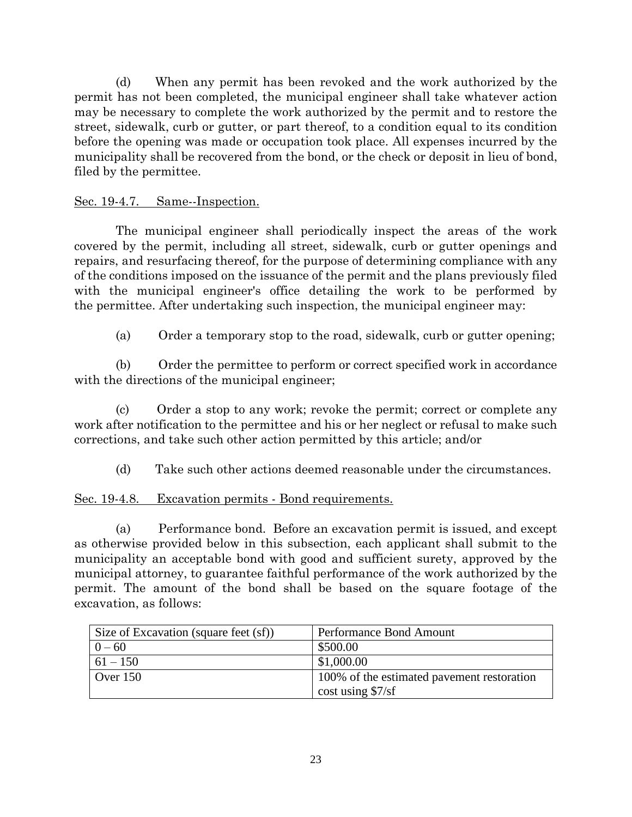(d) When any permit has been revoked and the work authorized by the permit has not been completed, the municipal engineer shall take whatever action may be necessary to complete the work authorized by the permit and to restore the street, sidewalk, curb or gutter, or part thereof, to a condition equal to its condition before the opening was made or occupation took place. All expenses incurred by the municipality shall be recovered from the bond, or the check or deposit in lieu of bond, filed by the permittee.

#### Sec. 19-4.7. Same--Inspection.

 The municipal engineer shall periodically inspect the areas of the work covered by the permit, including all street, sidewalk, curb or gutter openings and repairs, and resurfacing thereof, for the purpose of determining compliance with any of the conditions imposed on the issuance of the permit and the plans previously filed with the municipal engineer's office detailing the work to be performed by the permittee. After undertaking such inspection, the municipal engineer may:

(a) Order a temporary stop to the road, sidewalk, curb or gutter opening;

 (b) Order the permittee to perform or correct specified work in accordance with the directions of the municipal engineer;

 (c) Order a stop to any work; revoke the permit; correct or complete any work after notification to the permittee and his or her neglect or refusal to make such corrections, and take such other action permitted by this article; and/or

(d) Take such other actions deemed reasonable under the circumstances.

## Sec. 19-4.8. Excavation permits - Bond requirements.

 (a) Performance bond. Before an excavation permit is issued, and except as otherwise provided below in this subsection, each applicant shall submit to the municipality an acceptable bond with good and sufficient surety, approved by the municipal attorney, to guarantee faithful performance of the work authorized by the permit. The amount of the bond shall be based on the square footage of the excavation, as follows:

| Size of Excavation (square feet (sf)) | Performance Bond Amount                    |
|---------------------------------------|--------------------------------------------|
| $0 - 60$                              | \$500.00                                   |
| $61 - 150$                            | \$1,000.00                                 |
| Over $150$                            | 100% of the estimated pavement restoration |
|                                       | $\cos t$ using \$7/sf                      |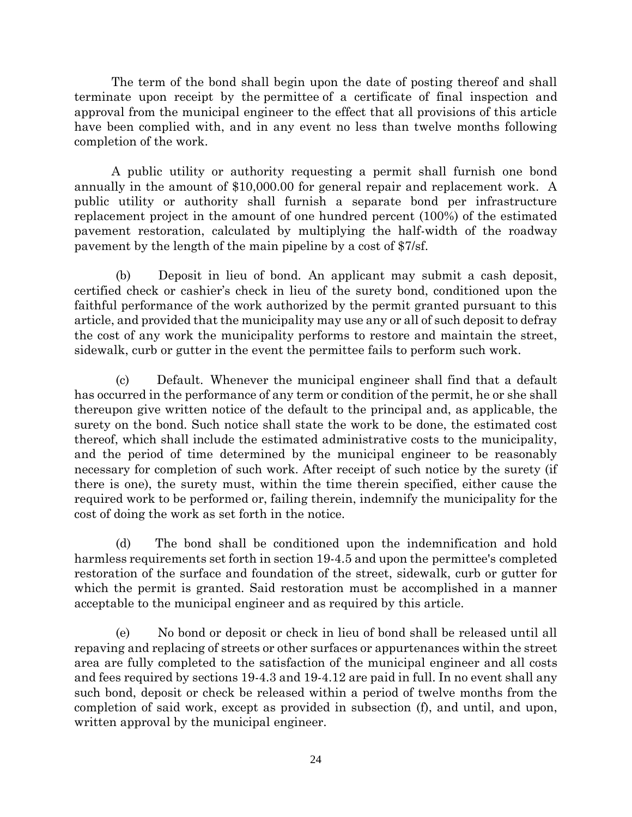The term of the bond shall begin upon the date of posting thereof and shall terminate upon receipt by the permittee of a certificate of final inspection and approval from the municipal engineer to the effect that all provisions of this article have been complied with, and in any event no less than twelve months following completion of the work.

A public utility or authority requesting a permit shall furnish one bond annually in the amount of \$10,000.00 for general repair and replacement work. A public utility or authority shall furnish a separate bond per infrastructure replacement project in the amount of one hundred percent (100%) of the estimated pavement restoration, calculated by multiplying the half-width of the roadway pavement by the length of the main pipeline by a cost of \$7/sf.

 (b) Deposit in lieu of bond. An applicant may submit a cash deposit, certified check or cashier's check in lieu of the surety bond, conditioned upon the faithful performance of the work authorized by the permit granted pursuant to this article, and provided that the municipality may use any or all of such deposit to defray the cost of any work the municipality performs to restore and maintain the street, sidewalk, curb or gutter in the event the permittee fails to perform such work.

 (c) Default. Whenever the municipal engineer shall find that a default has occurred in the performance of any term or condition of the permit, he or she shall thereupon give written notice of the default to the principal and, as applicable, the surety on the bond. Such notice shall state the work to be done, the estimated cost thereof, which shall include the estimated administrative costs to the municipality, and the period of time determined by the municipal engineer to be reasonably necessary for completion of such work. After receipt of such notice by the surety (if there is one), the surety must, within the time therein specified, either cause the required work to be performed or, failing therein, indemnify the municipality for the cost of doing the work as set forth in the notice.

 (d) The bond shall be conditioned upon the indemnification and hold harmless requirements set forth in section 19-4.5 and upon the permittee's completed restoration of the surface and foundation of the street, sidewalk, curb or gutter for which the permit is granted. Said restoration must be accomplished in a manner acceptable to the municipal engineer and as required by this article.

 (e) No bond or deposit or check in lieu of bond shall be released until all repaving and replacing of streets or other surfaces or appurtenances within the street area are fully completed to the satisfaction of the municipal engineer and all costs and fees required by sections 19-4.3 and 19-4.12 are paid in full. In no event shall any such bond, deposit or check be released within a period of twelve months from the completion of said work, except as provided in subsection (f), and until, and upon, written approval by the municipal engineer.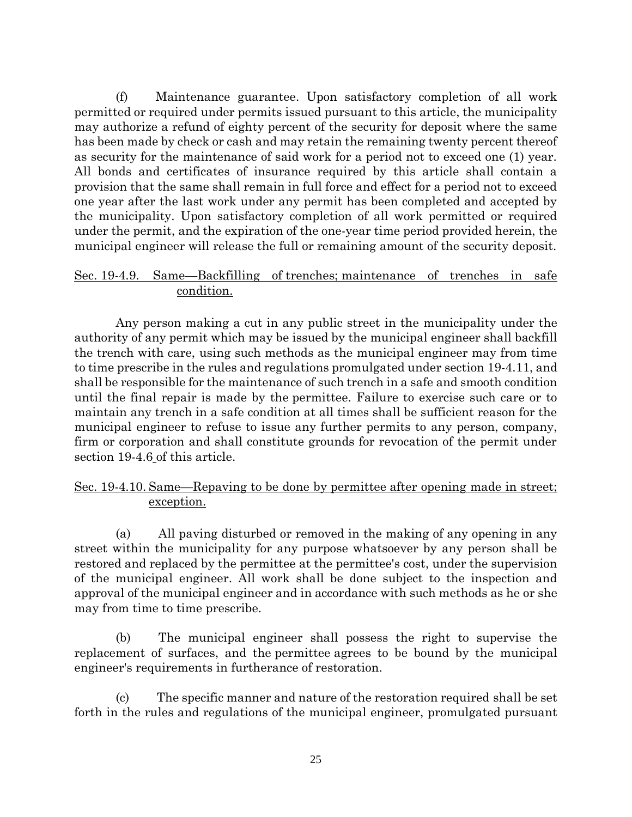(f) Maintenance guarantee. Upon satisfactory completion of all work permitted or required under permits issued pursuant to this article, the municipality may authorize a refund of eighty percent of the security for deposit where the same has been made by check or cash and may retain the remaining twenty percent thereof as security for the maintenance of said work for a period not to exceed one (1) year. All bonds and certificates of insurance required by this article shall contain a provision that the same shall remain in full force and effect for a period not to exceed one year after the last work under any permit has been completed and accepted by the municipality. Upon satisfactory completion of all work permitted or required under the permit, and the expiration of the one-year time period provided herein, the municipal engineer will release the full or remaining amount of the security deposit.

## Sec. 19-4.9. Same—Backfilling of trenches; maintenance of trenches in safe condition.

 Any person making a cut in any public street in the municipality under the authority of any permit which may be issued by the municipal engineer shall backfill the trench with care, using such methods as the municipal engineer may from time to time prescribe in the rules and regulations promulgated under section 19-4.11, and shall be responsible for the maintenance of such trench in a safe and smooth condition until the final repair is made by the permittee. Failure to exercise such care or to maintain any trench in a safe condition at all times shall be sufficient reason for the municipal engineer to refuse to issue any further permits to any person, company, firm or corporation and shall constitute grounds for revocation of the permit under section 19-4.6 of this article.

## Sec. 19-4.10. Same—Repaving to be done by permittee after opening made in street; exception.

 (a) All paving disturbed or removed in the making of any opening in any street within the municipality for any purpose whatsoever by any person shall be restored and replaced by the permittee at the permittee's cost, under the supervision of the municipal engineer. All work shall be done subject to the inspection and approval of the municipal engineer and in accordance with such methods as he or she may from time to time prescribe.

 (b) The municipal engineer shall possess the right to supervise the replacement of surfaces, and the permittee agrees to be bound by the municipal engineer's requirements in furtherance of restoration.

 (c) The specific manner and nature of the restoration required shall be set forth in the rules and regulations of the municipal engineer, promulgated pursuant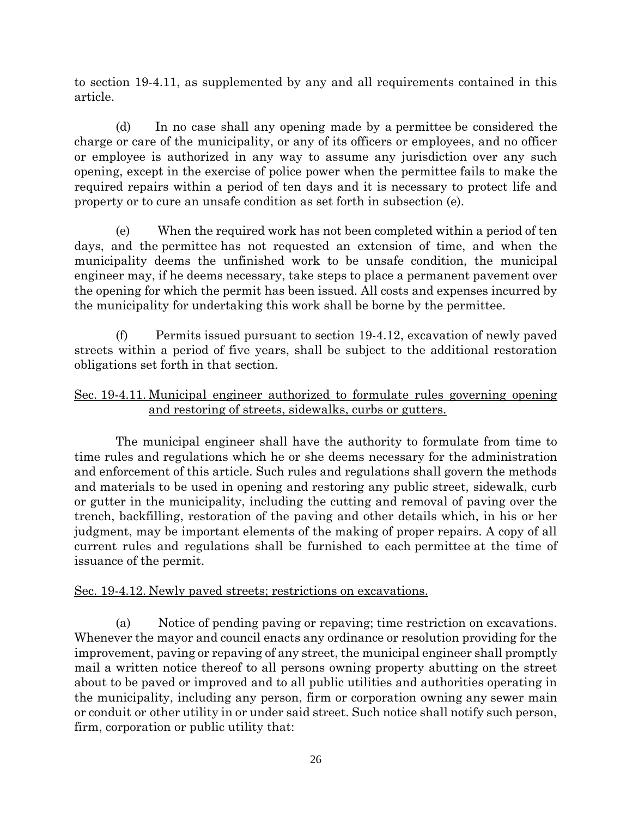to section 19-4.11, as supplemented by any and all requirements contained in this article.

 (d) In no case shall any opening made by a permittee be considered the charge or care of the municipality, or any of its officers or employees, and no officer or employee is authorized in any way to assume any jurisdiction over any such opening, except in the exercise of police power when the permittee fails to make the required repairs within a period of ten days and it is necessary to protect life and property or to cure an unsafe condition as set forth in subsection (e).

 (e) When the required work has not been completed within a period of ten days, and the permittee has not requested an extension of time, and when the municipality deems the unfinished work to be unsafe condition, the municipal engineer may, if he deems necessary, take steps to place a permanent pavement over the opening for which the permit has been issued. All costs and expenses incurred by the municipality for undertaking this work shall be borne by the permittee.

 (f) Permits issued pursuant to section 19-4.12, excavation of newly paved streets within a period of five years, shall be subject to the additional restoration obligations set forth in that section.

## Sec. 19-4.11. Municipal engineer authorized to formulate rules governing opening and restoring of streets, sidewalks, curbs or gutters.

 The municipal engineer shall have the authority to formulate from time to time rules and regulations which he or she deems necessary for the administration and enforcement of this article. Such rules and regulations shall govern the methods and materials to be used in opening and restoring any public street, sidewalk, curb or gutter in the municipality, including the cutting and removal of paving over the trench, backfilling, restoration of the paving and other details which, in his or her judgment, may be important elements of the making of proper repairs. A copy of all current rules and regulations shall be furnished to each permittee at the time of issuance of the permit.

## Sec. 19-4.12. Newly paved streets; restrictions on excavations.

 (a) Notice of pending paving or repaving; time restriction on excavations. Whenever the mayor and council enacts any ordinance or resolution providing for the improvement, paving or repaving of any street, the municipal engineer shall promptly mail a written notice thereof to all persons owning property abutting on the street about to be paved or improved and to all public utilities and authorities operating in the municipality, including any person, firm or corporation owning any sewer main or conduit or other utility in or under said street. Such notice shall notify such person, firm, corporation or public utility that: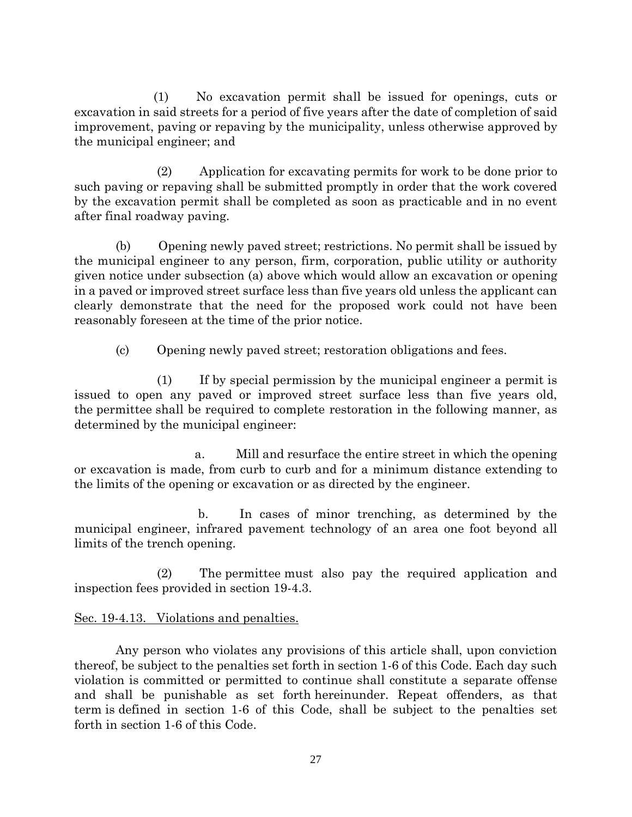(1) No excavation permit shall be issued for openings, cuts or excavation in said streets for a period of five years after the date of completion of said improvement, paving or repaving by the municipality, unless otherwise approved by the municipal engineer; and

 (2) Application for excavating permits for work to be done prior to such paving or repaving shall be submitted promptly in order that the work covered by the excavation permit shall be completed as soon as practicable and in no event after final roadway paving.

 (b) Opening newly paved street; restrictions. No permit shall be issued by the municipal engineer to any person, firm, corporation, public utility or authority given notice under subsection (a) above which would allow an excavation or opening in a paved or improved street surface less than five years old unless the applicant can clearly demonstrate that the need for the proposed work could not have been reasonably foreseen at the time of the prior notice.

(c) Opening newly paved street; restoration obligations and fees.

 (1) If by special permission by the municipal engineer a permit is issued to open any paved or improved street surface less than five years old, the permittee shall be required to complete restoration in the following manner, as determined by the municipal engineer:

 a. Mill and resurface the entire street in which the opening or excavation is made, from curb to curb and for a minimum distance extending to the limits of the opening or excavation or as directed by the engineer.

 b. In cases of minor trenching, as determined by the municipal engineer, infrared pavement technology of an area one foot beyond all limits of the trench opening.

 (2) The permittee must also pay the required application and inspection fees provided in section 19-4.3.

# Sec. 19-4.13. Violations and penalties.

 Any person who violates any provisions of this article shall, upon conviction thereof, be subject to the penalties set forth in section 1-6 of this Code. Each day such violation is committed or permitted to continue shall constitute a separate offense and shall be punishable as set forth hereinunder. Repeat offenders, as that term is defined in section 1-6 of this Code, shall be subject to the penalties set forth in section 1-6 of this Code.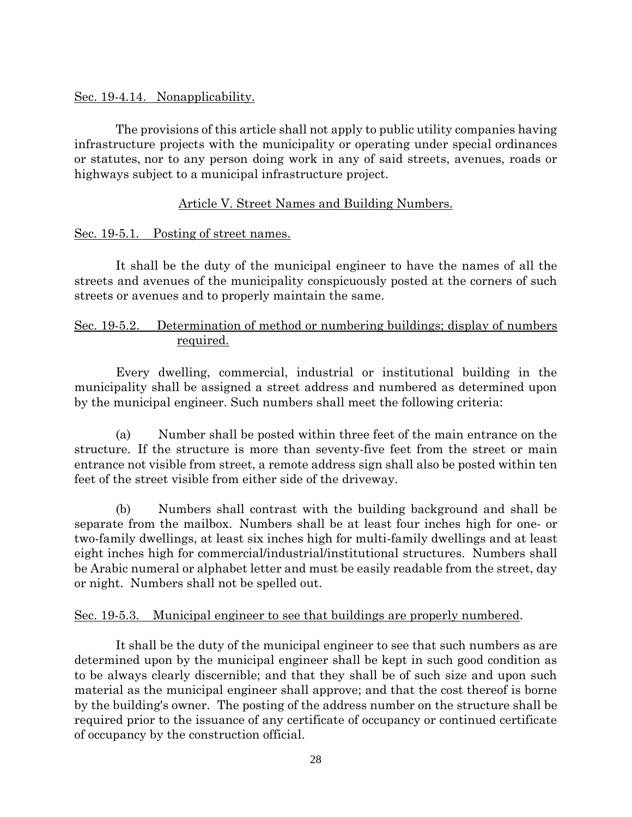#### Sec. 19-4.14. Nonapplicability.

 The provisions of this article shall not apply to public utility companies having infrastructure projects with the municipality or operating under special ordinances or statutes, nor to any person doing work in any of said streets, avenues, roads or highways subject to a municipal infrastructure project.

## Article V. Street Names and Building Numbers.

## Sec. 19-5.1. Posting of street names.

 It shall be the duty of the municipal engineer to have the names of all the streets and avenues of the municipality conspicuously posted at the corners of such streets or avenues and to properly maintain the same.

## Sec. 19-5.2. Determination of method or numbering buildings; display of numbers required.

 Every dwelling, commercial, industrial or institutional building in the municipality shall be assigned a street address and numbered as determined upon by the municipal engineer. Such numbers shall meet the following criteria:

 (a) Number shall be posted within three feet of the main entrance on the structure. If the structure is more than seventy-five feet from the street or main entrance not visible from street, a remote address sign shall also be posted within ten feet of the street visible from either side of the driveway.

 (b) Numbers shall contrast with the building background and shall be separate from the mailbox. Numbers shall be at least four inches high for one- or two-family dwellings, at least six inches high for multi-family dwellings and at least eight inches high for commercial/industrial/institutional structures. Numbers shall be Arabic numeral or alphabet letter and must be easily readable from the street, day or night. Numbers shall not be spelled out.

## Sec. 19-5.3. Municipal engineer to see that buildings are properly numbered.

 It shall be the duty of the municipal engineer to see that such numbers as are determined upon by the municipal engineer shall be kept in such good condition as to be always clearly discernible; and that they shall be of such size and upon such material as the municipal engineer shall approve; and that the cost thereof is borne by the building's owner. The posting of the address number on the structure shall be required prior to the issuance of any certificate of occupancy or continued certificate of occupancy by the construction official.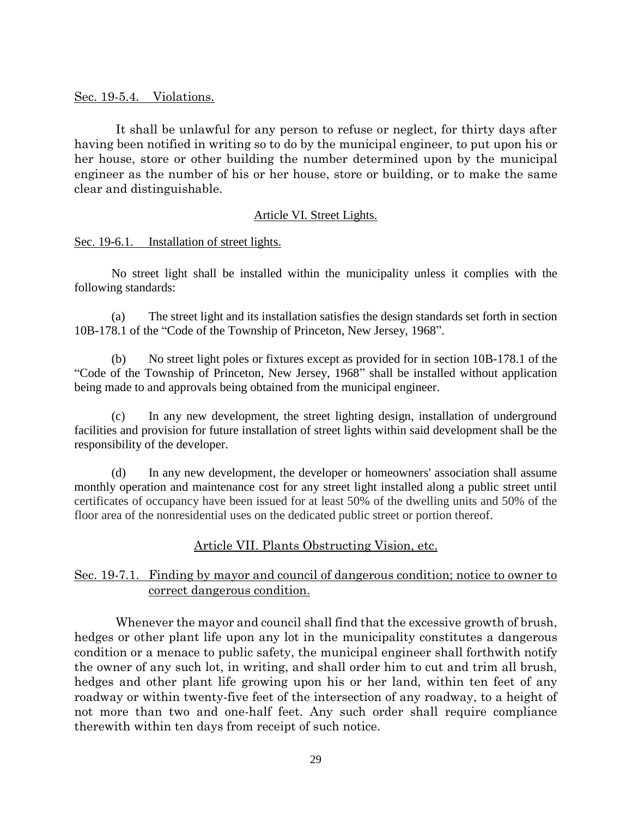#### Sec. 19-5.4. Violations.

 It shall be unlawful for any person to refuse or neglect, for thirty days after having been notified in writing so to do by the municipal engineer, to put upon his or her house, store or other building the number determined upon by the municipal engineer as the number of his or her house, store or building, or to make the same clear and distinguishable.

#### Article VI. Street Lights.

#### Sec. 19-6.1. Installation of street lights.

 No street light shall be installed within the municipality unless it complies with the following standards:

(a) The street light and its installation satisfies the design standards set forth in section 10B-178.1 of the "Code of the Township of Princeton, New Jersey, 1968".

(b) No street light poles or fixtures except as provided for in section 10B-178.1 of the "Code of the Township of Princeton, New Jersey, 1968" shall be installed without application being made to and approvals being obtained from the municipal engineer.

(c) In any new development, the street lighting design, installation of underground facilities and provision for future installation of street lights within said development shall be the responsibility of the developer.

(d) In any new development, the developer or homeowners' association shall assume monthly operation and maintenance cost for any street light installed along a public street until certificates of occupancy have been issued for at least 50% of the dwelling units and 50% of the floor area of the nonresidential uses on the dedicated public street or portion thereof.

## Article VII. Plants Obstructing Vision, etc.

## Sec. 19-7.1. Finding by mayor and council of dangerous condition; notice to owner to correct dangerous condition.

 Whenever the mayor and council shall find that the excessive growth of brush, hedges or other plant life upon any lot in the municipality constitutes a dangerous condition or a menace to public safety, the municipal engineer shall forthwith notify the owner of any such lot, in writing, and shall order him to cut and trim all brush, hedges and other plant life growing upon his or her land, within ten feet of any roadway or within twenty-five feet of the intersection of any roadway, to a height of not more than two and one-half feet. Any such order shall require compliance therewith within ten days from receipt of such notice.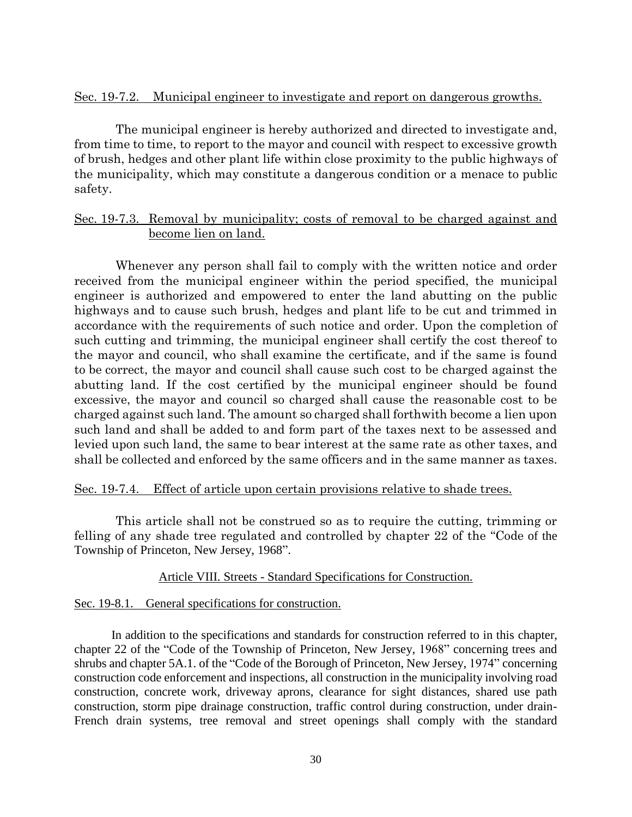#### Sec. 19-7.2. Municipal engineer to investigate and report on dangerous growths.

 The municipal engineer is hereby authorized and directed to investigate and, from time to time, to report to the mayor and council with respect to excessive growth of brush, hedges and other plant life within close proximity to the public highways of the municipality, which may constitute a dangerous condition or a menace to public safety.

## Sec. 19-7.3. Removal by municipality; costs of removal to be charged against and become lien on land.

 Whenever any person shall fail to comply with the written notice and order received from the municipal engineer within the period specified, the municipal engineer is authorized and empowered to enter the land abutting on the public highways and to cause such brush, hedges and plant life to be cut and trimmed in accordance with the requirements of such notice and order. Upon the completion of such cutting and trimming, the municipal engineer shall certify the cost thereof to the mayor and council, who shall examine the certificate, and if the same is found to be correct, the mayor and council shall cause such cost to be charged against the abutting land. If the cost certified by the municipal engineer should be found excessive, the mayor and council so charged shall cause the reasonable cost to be charged against such land. The amount so charged shall forthwith become a lien upon such land and shall be added to and form part of the taxes next to be assessed and levied upon such land, the same to bear interest at the same rate as other taxes, and shall be collected and enforced by the same officers and in the same manner as taxes.

#### Sec. 19-7.4. Effect of article upon certain provisions relative to shade trees.

 This article shall not be construed so as to require the cutting, trimming or felling of any shade tree regulated and controlled by chapter 22 of the "Code of the Township of Princeton, New Jersey, 1968".

#### Article VIII. Streets - Standard Specifications for Construction.

#### Sec. 19-8.1. General specifications for construction.

In addition to the specifications and standards for construction referred to in this chapter, chapter 22 of the "Code of the Township of Princeton, New Jersey, 1968" concerning trees and shrubs and chapter 5A.1. of the "Code of the Borough of Princeton, New Jersey, 1974" concerning construction code enforcement and inspections, all construction in the municipality involving road construction, concrete work, driveway aprons, clearance for sight distances, shared use path construction, storm pipe drainage construction, traffic control during construction, under drain-French drain systems, tree removal and street openings shall comply with the standard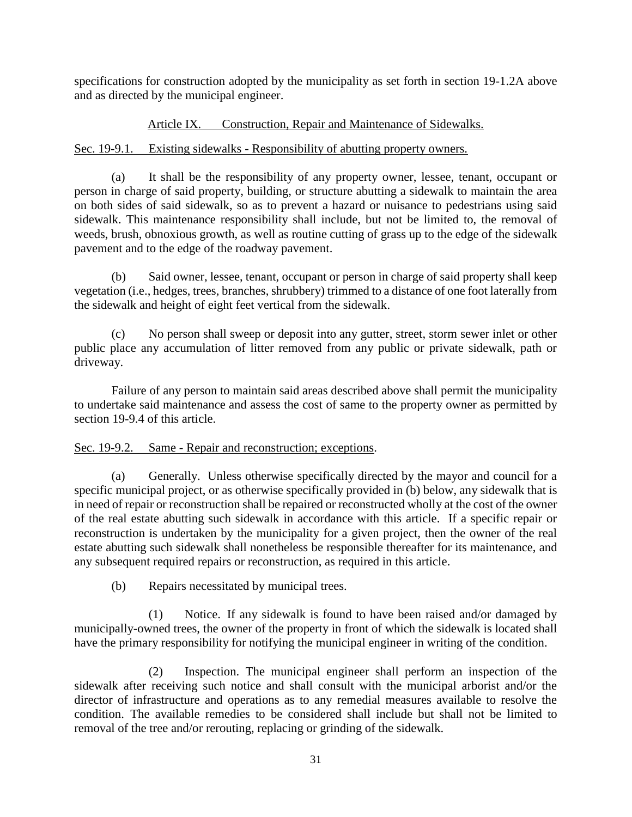specifications for construction adopted by the municipality as set forth in section 19-1.2A above and as directed by the municipal engineer.

#### Article IX. Construction, Repair and Maintenance of Sidewalks.

#### Sec. 19-9.1. Existing sidewalks - Responsibility of abutting property owners.

(a) It shall be the responsibility of any property owner, lessee, tenant, occupant or person in charge of said property, building, or structure abutting a sidewalk to maintain the area on both sides of said sidewalk, so as to prevent a hazard or nuisance to pedestrians using said sidewalk. This maintenance responsibility shall include, but not be limited to, the removal of weeds, brush, obnoxious growth, as well as routine cutting of grass up to the edge of the sidewalk pavement and to the edge of the roadway pavement.

(b) Said owner, lessee, tenant, occupant or person in charge of said property shall keep vegetation (i.e., hedges, trees, branches, shrubbery) trimmed to a distance of one foot laterally from the sidewalk and height of eight feet vertical from the sidewalk.

(c) No person shall sweep or deposit into any gutter, street, storm sewer inlet or other public place any accumulation of litter removed from any public or private sidewalk, path or driveway.

Failure of any person to maintain said areas described above shall permit the municipality to undertake said maintenance and assess the cost of same to the property owner as permitted by section 19-9.4 of this article.

#### Sec. 19-9.2. Same - Repair and reconstruction; exceptions.

(a) Generally. Unless otherwise specifically directed by the mayor and council for a specific municipal project, or as otherwise specifically provided in (b) below, any sidewalk that is in need of repair or reconstruction shall be repaired or reconstructed wholly at the cost of the owner of the real estate abutting such sidewalk in accordance with this article. If a specific repair or reconstruction is undertaken by the municipality for a given project, then the owner of the real estate abutting such sidewalk shall nonetheless be responsible thereafter for its maintenance, and any subsequent required repairs or reconstruction, as required in this article.

(b) Repairs necessitated by municipal trees.

(1) Notice. If any sidewalk is found to have been raised and/or damaged by municipally-owned trees, the owner of the property in front of which the sidewalk is located shall have the primary responsibility for notifying the municipal engineer in writing of the condition.

(2) Inspection. The municipal engineer shall perform an inspection of the sidewalk after receiving such notice and shall consult with the municipal arborist and/or the director of infrastructure and operations as to any remedial measures available to resolve the condition. The available remedies to be considered shall include but shall not be limited to removal of the tree and/or rerouting, replacing or grinding of the sidewalk.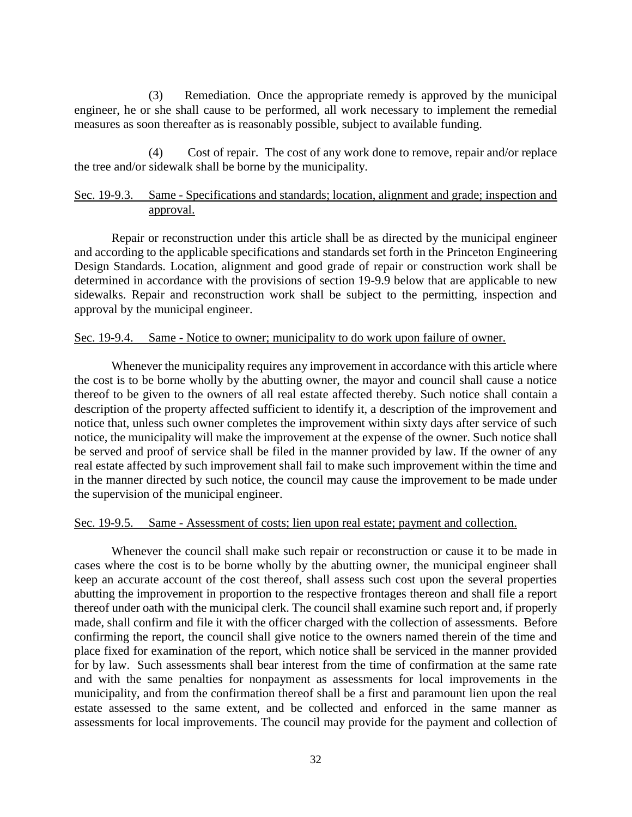(3) Remediation. Once the appropriate remedy is approved by the municipal engineer, he or she shall cause to be performed, all work necessary to implement the remedial measures as soon thereafter as is reasonably possible, subject to available funding.

(4) Cost of repair. The cost of any work done to remove, repair and/or replace the tree and/or sidewalk shall be borne by the municipality.

#### Sec. 19-9.3. Same - Specifications and standards; location, alignment and grade; inspection and approval.

Repair or reconstruction under this article shall be as directed by the municipal engineer and according to the applicable specifications and standards set forth in the Princeton Engineering Design Standards. Location, alignment and good grade of repair or construction work shall be determined in accordance with the provisions of section 19-9.9 below that are applicable to new sidewalks. Repair and reconstruction work shall be subject to the permitting, inspection and approval by the municipal engineer.

#### Sec. 19-9.4. Same - Notice to owner; municipality to do work upon failure of owner.

Whenever the municipality requires any improvement in accordance with this article where the cost is to be borne wholly by the abutting owner, the mayor and council shall cause a notice thereof to be given to the owners of all real estate affected thereby. Such notice shall contain a description of the property affected sufficient to identify it, a description of the improvement and notice that, unless such owner completes the improvement within sixty days after service of such notice, the municipality will make the improvement at the expense of the owner. Such notice shall be served and proof of service shall be filed in the manner provided by law. If the owner of any real estate affected by such improvement shall fail to make such improvement within the time and in the manner directed by such notice, the council may cause the improvement to be made under the supervision of the municipal engineer.

#### Sec. 19-9.5. Same - Assessment of costs; lien upon real estate; payment and collection.

Whenever the council shall make such repair or reconstruction or cause it to be made in cases where the cost is to be borne wholly by the abutting owner, the municipal engineer shall keep an accurate account of the cost thereof, shall assess such cost upon the several properties abutting the improvement in proportion to the respective frontages thereon and shall file a report thereof under oath with the municipal clerk. The council shall examine such report and, if properly made, shall confirm and file it with the officer charged with the collection of assessments. Before confirming the report, the council shall give notice to the owners named therein of the time and place fixed for examination of the report, which notice shall be serviced in the manner provided for by law. Such assessments shall bear interest from the time of confirmation at the same rate and with the same penalties for nonpayment as assessments for local improvements in the municipality, and from the confirmation thereof shall be a first and paramount lien upon the real estate assessed to the same extent, and be collected and enforced in the same manner as assessments for local improvements. The council may provide for the payment and collection of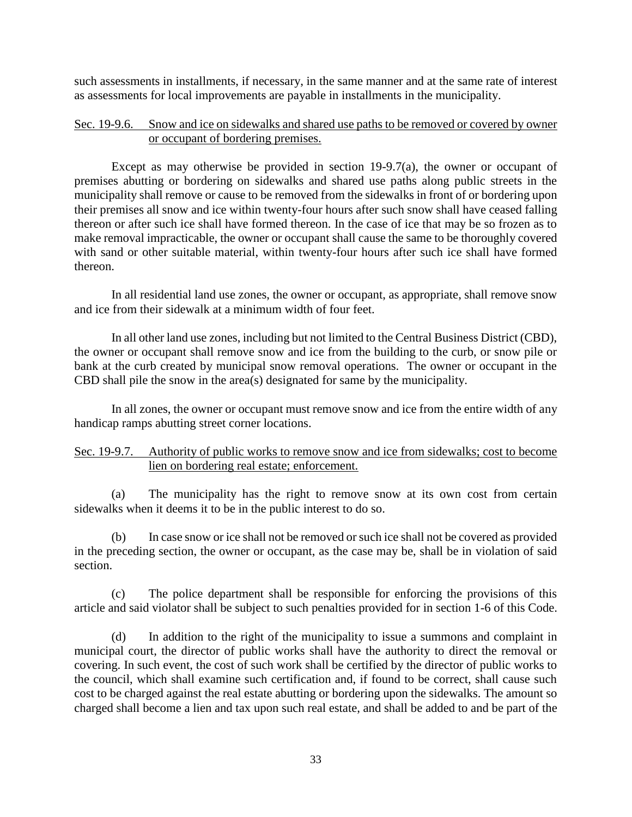such assessments in installments, if necessary, in the same manner and at the same rate of interest as assessments for local improvements are payable in installments in the municipality.

#### Sec. 19-9.6. Snow and ice on sidewalks and shared use paths to be removed or covered by owner or occupant of bordering premises.

Except as may otherwise be provided in section 19-9.7(a), the owner or occupant of premises abutting or bordering on sidewalks and shared use paths along public streets in the municipality shall remove or cause to be removed from the sidewalks in front of or bordering upon their premises all snow and ice within twenty-four hours after such snow shall have ceased falling thereon or after such ice shall have formed thereon. In the case of ice that may be so frozen as to make removal impracticable, the owner or occupant shall cause the same to be thoroughly covered with sand or other suitable material, within twenty-four hours after such ice shall have formed thereon.

In all residential land use zones, the owner or occupant, as appropriate, shall remove snow and ice from their sidewalk at a minimum width of four feet.

In all other land use zones, including but not limited to the Central Business District (CBD), the owner or occupant shall remove snow and ice from the building to the curb, or snow pile or bank at the curb created by municipal snow removal operations. The owner or occupant in the CBD shall pile the snow in the area(s) designated for same by the municipality.

In all zones, the owner or occupant must remove snow and ice from the entire width of any handicap ramps abutting street corner locations.

#### Sec. 19-9.7. Authority of public works to remove snow and ice from sidewalks; cost to become lien on bordering real estate; enforcement.

(a) The municipality has the right to remove snow at its own cost from certain sidewalks when it deems it to be in the public interest to do so.

(b) In case snow or ice shall not be removed or such ice shall not be covered as provided in the preceding section, the owner or occupant, as the case may be, shall be in violation of said section.

(c) The police department shall be responsible for enforcing the provisions of this article and said violator shall be subject to such penalties provided for in section 1-6 of this Code.

(d) In addition to the right of the municipality to issue a summons and complaint in municipal court, the director of public works shall have the authority to direct the removal or covering. In such event, the cost of such work shall be certified by the director of public works to the council, which shall examine such certification and, if found to be correct, shall cause such cost to be charged against the real estate abutting or bordering upon the sidewalks. The amount so charged shall become a lien and tax upon such real estate, and shall be added to and be part of the